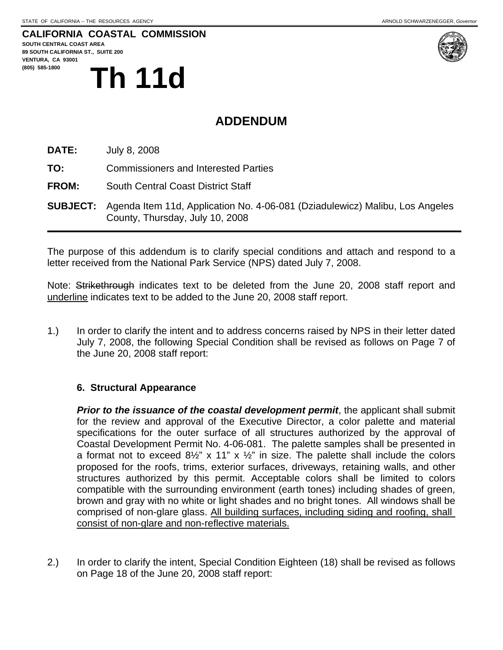## **CALIFORNIA COASTAL COMMISSION**

**SOUTH CENTRAL COAST AREA 89 SOUTH CALIFORNIA ST., SUITE 200 VENTURA, CA 93001**  (805) 585-1800<br>
Th 11d



## **ADDENDUM**

**DATE:** July 8, 2008

**TO:** Commissioners and Interested Parties

**FROM:** South Central Coast District Staff

**SUBJECT:** Agenda Item 11d, Application No. 4-06-081 (Dziadulewicz) Malibu, Los Angeles County, Thursday, July 10, 2008

The purpose of this addendum is to clarify special conditions and attach and respond to a letter received from the National Park Service (NPS) dated July 7, 2008.

Note: Strikethrough indicates text to be deleted from the June 20, 2008 staff report and underline indicates text to be added to the June 20, 2008 staff report.

1.) In order to clarify the intent and to address concerns raised by NPS in their letter dated July 7, 2008, the following Special Condition shall be revised as follows on Page 7 of the June 20, 2008 staff report:

#### **6. Structural Appearance**

**Prior to the issuance of the coastal development permit**, the applicant shall submit for the review and approval of the Executive Director, a color palette and material specifications for the outer surface of all structures authorized by the approval of Coastal Development Permit No. 4-06-081. The palette samples shall be presented in a format not to exceed  $8\frac{1}{2}$ " x 11" x  $\frac{1}{2}$ " in size. The palette shall include the colors proposed for the roofs, trims, exterior surfaces, driveways, retaining walls, and other structures authorized by this permit. Acceptable colors shall be limited to colors compatible with the surrounding environment (earth tones) including shades of green, brown and gray with no white or light shades and no bright tones. All windows shall be comprised of non-glare glass. All building surfaces, including siding and roofing, shall consist of non-glare and non-reflective materials.

2.) In order to clarify the intent, Special Condition Eighteen (18) shall be revised as follows on Page 18 of the June 20, 2008 staff report: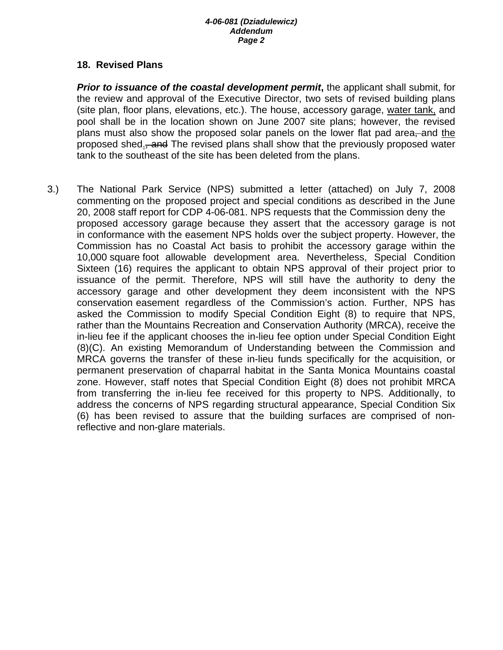#### **18. Revised Plans**

*Prior to issuance of the coastal development permit***, the applicant shall submit, for**  the review and approval of the Executive Director, two sets of revised building plans (site plan, floor plans, elevations, etc.). The house, accessory garage, water tank, and pool shall be in the location shown on June 2007 site plans; however, the revised plans must also show the proposed solar panels on the lower flat pad area, and the proposed shed., and The revised plans shall show that the previously proposed water tank to the southeast of the site has been deleted from the plans.

3.) The National Park Service (NPS) submitted a letter (attached) on July 7, 2008 commenting on the proposed project and special conditions as described in the June 20, 2008 staff report for CDP 4-06-081. NPS requests that the Commission deny the proposed accessory garage because they assert that the accessory garage is not in conformance with the easement NPS holds over the subject property. However, the Commission has no Coastal Act basis to prohibit the accessory garage within the 10,000 square foot allowable development area. Nevertheless, Special Condition Sixteen (16) requires the applicant to obtain NPS approval of their project prior to issuance of the permit. Therefore, NPS will still have the authority to deny the accessory garage and other development they deem inconsistent with the NPS conservation easement regardless of the Commission's action. Further, NPS has asked the Commission to modify Special Condition Eight (8) to require that NPS, rather than the Mountains Recreation and Conservation Authority (MRCA), receive the in-lieu fee if the applicant chooses the in-lieu fee option under Special Condition Eight (8)(C). An existing Memorandum of Understanding between the Commission and MRCA governs the transfer of these in-lieu funds specifically for the acquisition, or permanent preservation of chaparral habitat in the Santa Monica Mountains coastal zone. However, staff notes that Special Condition Eight (8) does not prohibit MRCA from transferring the in-lieu fee received for this property to NPS. Additionally, to address the concerns of NPS regarding structural appearance, Special Condition Six (6) has been revised to assure that the building surfaces are comprised of non reflective and non-glare materials.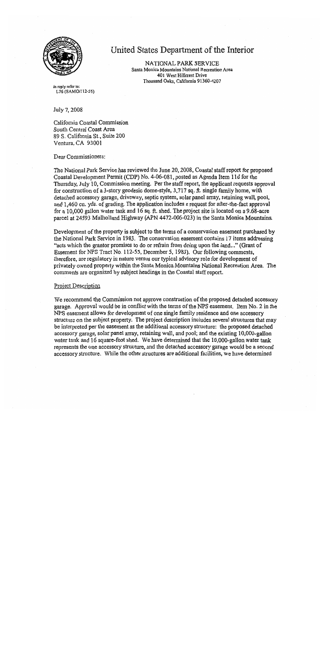

## United States Department of the Interior

NATIONAL PARK SERVICE Santa Monica Mountains National Recreation Area 401 West Hillcrest Drive Thousand Oaks, California 91360-4207

In reply refer to: L76 (SAMO/112-55)

July 7, 2008

California Coastal Commission South Central Coast Area 89 S. California St., Suite 200 Ventura, CA 93001

Dear Commissioners:

The National Park Service has reviewed the June 20, 2008, Coastal staff report for proposed Coastal Development Permit (CDP) No. 4-06-081, posted as Agenda Item 11d for the Thursday, July 10, Commission meeting. Per the staff report, the applicant requests approval for construction of a 3-story geodesic dome-style, 3,717 sq. ft. single family home, with detached accessory garage, driveway, septic system, solar panel array, retaining wall, pool, and 1,460 cu. yds. of grading. The application includes a request for after-the-fact approval for a 10,000 gallon water tank and 16 sq. ft. shed. The project site is located on a 9.68-acre parcel at 24593 Mulholland Highway (APN 4472-006-023) in the Santa Monica Mountains.

Development of the property is subject to the terms of a conservation easement purchased by the National Park Service in 1983. The conservation easement contains 17 items addressing "acts which the grantor promises to do or refrain from doing upon the land..." (Grant of Easement for NPS Tract No. 112-55, December 5, 1983). Our following comments, therefore, are regulatory in nature versus our typical advisory role for development of privately owned property within the Santa Monica Mountains National Recreation Area. The comments are organized by subject headings in the Coastal staff report.

#### **Project Description**

We recommend the Commission not approve construction of the proposed detached accessory garage. Approval would be in conflict with the terms of the NPS easement. Item No. 2 in the NPS easement allows for development of one single family residence and one accessory structure on the subject property. The project description includes several structures that may be interpreted per the easement as the additional accessory structure: the proposed detached accessory garage, solar panel array, retaining wall, and pool; and the existing 10,000-gallon water tank and 16 square-foot shed. We have determined that the 10,000-gallon water tank represents the one accessory structure, and the detached accessory garage would be a second accessory structure. While the other structures are additional facilities, we have determined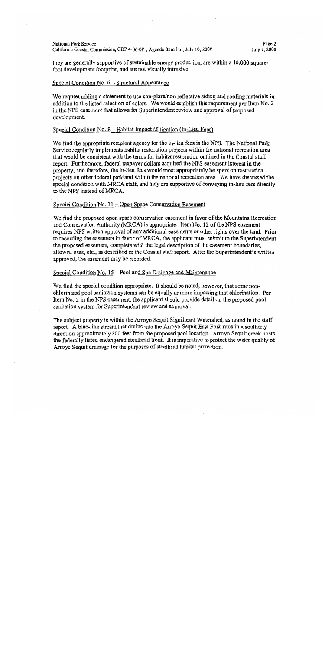#### National Park Service California Coastal Commission, CDP 4-06-081, Agenda Item 11d, July 10, 2008

Page 2 July 7, 2008

they are generally supportive of sustainable energy production, are within a 10,000 squarefoot development footprint, and are not visually intrusive.

#### Special Condition No. 6 - Structural Appearance

We request adding a statement to use non-glare/non-reflective siding and roofing materials in addition to the listed selection of colors. We would establish this requirement per Item No. 2 in the NPS easement that allows for Superintendent review and approval of proposed development.

#### Special Condition No. 8 – Habitat Impact Mitigation (In-Lieu Fees)

We find the appropriate recipient agency for the in-lieu fees is the NPS. The National Park Service regularly implements habitat restoration projects within the national recreation area that would be consistent with the terms for habitat restoration outlined in the Coastal staff report. Furthermore, federal taxpayer dollars acquired the NPS easement interest in the property, and therefore, the in-lieu fees would most appropriately be spent on restoration projects on other federal parkland within the national recreation area. We have discussed the special condition with MRCA staff, and they are supportive of conveying in-lieu fees directly to the NPS instead of MRCA.

#### Special Condition No. 11 – Open Space Conservation Easement

We find the proposed open space conservation easement in favor of the Mountains Recreation and Conservation Authority (MRCA) is appropriate. Item No. 12 of the NPS easement requires NPS written approval of any additional easements or other rights over the land. Prior to recording the easement in favor of MRCA, the applicant must submit to the Superintendent the proposed easement, complete with the legal description of the easement boundaries, allowed uses, etc., as described in the Coastal staff report. After the Superintendent's written approved, the easement may be recorded.

#### Special Condition No. 15 – Pool and Spa Drainage and Maintenance

We find the special condition appropriate. It should be noted, however, that some nonchlorinated pool sanitation systems can be equally or more impacting that chlorination. Per Item No. 2 in the NPS easement, the applicant should provide detail on the proposed pool sanitation system for Superintendent review and approval.

The subject property is within the Arroyo Sequit Significant Watershed, as noted in the staff report. A blue-line stream that drains into the Arroyo Sequit East Fork runs in a southerly direction approximately 800 feet from the proposed pool location. Arroyo Sequit creek hosts the federally listed endangered steelhead trout. It is imperative to protect the water quality of Arrovo Sequit drainage for the purposes of steelhead habitat protection.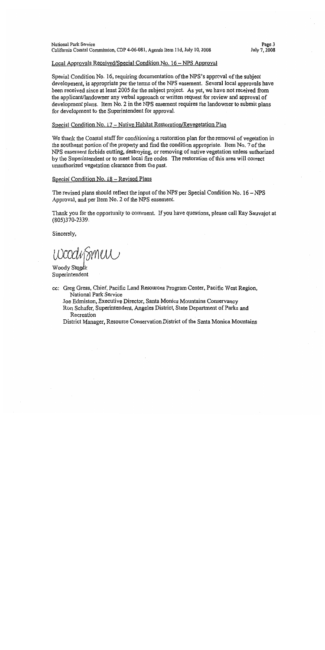#### Local Approvals Received/Special Condition No. 16 – NPS Approval

Special Condition No. 16, requiring documentation of the NPS's approval of the subject development, is appropriate per the terms of the NPS easement. Several local approvals have been received since at least 2005 for the subject project. As yet, we have not received from the applicant/landowner any verbal approach or written request for review and approval of development plans. Item No. 2 in the NPS easement requires the landowner to submit plans for development to the Superintendent for approval.

#### Special Condition No. 17 – Native Habitat Restoration/Revegetation Plan

We thank the Coastal staff for conditioning a restoration plan for the removal of vegetation in the southeast portion of the property and find the condition appropriate. Item No. 7 of the NPS easement forbids cutting, destroying, or removing of native vegetation unless authorized by the Superintendent or to meet local fire codes. The restoration of this area will correct unauthorized vegetation clearance from the past.

#### Special Condition No. 18 - Revised Plans

The revised plans should reflect the input of the NPS per Special Condition No.  $16 - NPS$ Approval, and per Item No. 2 of the NPS easement.

Thank you for the opportunity to comment. If you have questions, please call Ray Sauvajot at (805)370-2339.

Sincerely,

WoodySmew

Woody Smeck Superintendent

cc: Greg Gress, Chief, Pacific Land Resources Program Center, Pacific West Region, National Park Service

Joe Edmiston, Executive Director, Santa Monica Mountains Conservancy

Ron Schafer, Superintendent, Angeles District, State Department of Parks and Recreation

District Manager, Resource Conservation District of the Santa Monica Mountains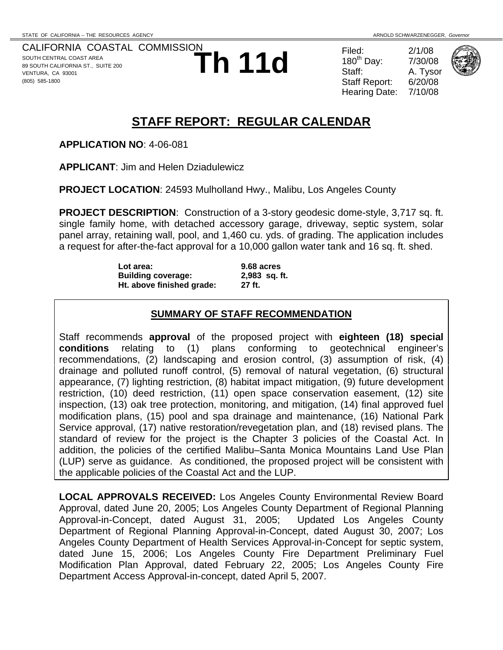CALIFORNIA COASTAL COMMISSION SOUTH CENTRAL COAST AREA 89 SOUTH CALIFORNIA ST., SUITE 200 VENTURA, CA 93001 (805) 585-1800

**Th 11d** Filed:  $^{2/1/08}_{3\textrm{taff}}$   $^{2/1/08}_{7/30/08}$   $^{2/1/08}_{5\textrm{taff}}$   $^{2/1/08}_{\textrm{Staff Report:}}$   $^{2/1/08}_{6/20/08}$ 180<sup>th</sup> Day: A. Tysor Staff Report: Hearing Date: 7/10/08



# **STAFF REPORT: REGULAR CALENDAR**

**APPLICATION NO**: 4-06-081

**APPLICANT**: Jim and Helen Dziadulewicz

**PROJECT LOCATION**: 24593 Mulholland Hwy., Malibu, Los Angeles County

**PROJECT DESCRIPTION**: Construction of a 3-story geodesic dome-style, 3,717 sq. ft. single family home, with detached accessory garage, driveway, septic system, solar panel array, retaining wall, pool, and 1,460 cu. yds. of grading. The application includes a request for after-the-fact approval for a 10,000 gallon water tank and 16 sq. ft. shed.

> **Lot area: 9.68 acres Building coverage: 2,983 sq. ft. Ht. above finished grade: 27 ft.**

#### **SUMMARY OF STAFF RECOMMENDATION**

Staff recommends **approval** of the proposed project with **eighteen (18) special conditions** relating to (1) plans conforming to geotechnical engineer's recommendations, (2) landscaping and erosion control, (3) assumption of risk, (4) drainage and polluted runoff control, (5) removal of natural vegetation, (6) structural appearance, (7) lighting restriction, (8) habitat impact mitigation, (9) future development restriction, (10) deed restriction, (11) open space conservation easement, (12) site inspection, (13) oak tree protection, monitoring, and mitigation, (14) final approved fuel modification plans, (15) pool and spa drainage and maintenance, (16) National Park Service approval, (17) native restoration/revegetation plan, and (18) revised plans. The standard of review for the project is the Chapter 3 policies of the Coastal Act. In addition, the policies of the certified Malibu–Santa Monica Mountains Land Use Plan (LUP) serve as guidance. As conditioned, the proposed project will be consistent with the applicable policies of the Coastal Act and the LUP.

**LOCAL APPROVALS RECEIVED:** Los Angeles County Environmental Review Board Approval, dated June 20, 2005; Los Angeles County Department of Regional Planning Approval-in-Concept, dated August 31, 2005; Updated Los Angeles County Department of Regional Planning Approval-in-Concept, dated August 30, 2007; Los Angeles County Department of Health Services Approval-in-Concept for septic system, dated June 15, 2006; Los Angeles County Fire Department Preliminary Fuel Modification Plan Approval, dated February 22, 2005; Los Angeles County Fire Department Access Approval-in-concept, dated April 5, 2007.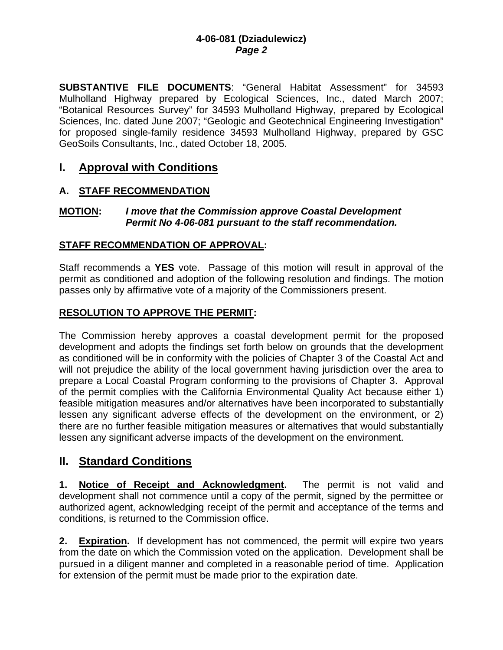**SUBSTANTIVE FILE DOCUMENTS**: "General Habitat Assessment" for 34593 Mulholland Highway prepared by Ecological Sciences, Inc., dated March 2007; "Botanical Resources Survey" for 34593 Mulholland Highway, prepared by Ecological Sciences, Inc. dated June 2007; "Geologic and Geotechnical Engineering Investigation" for proposed single-family residence 34593 Mulholland Highway, prepared by GSC GeoSoils Consultants, Inc., dated October 18, 2005.

## **I. Approval with Conditions**

### **A. STAFF RECOMMENDATION**

#### **MOTION:** *I move that the Commission approve Coastal Development Permit No 4-06-081 pursuant to the staff recommendation.*

#### **STAFF RECOMMENDATION OF APPROVAL:**

Staff recommends a **YES** vote. Passage of this motion will result in approval of the permit as conditioned and adoption of the following resolution and findings. The motion passes only by affirmative vote of a majority of the Commissioners present.

### **RESOLUTION TO APPROVE THE PERMIT:**

The Commission hereby approves a coastal development permit for the proposed development and adopts the findings set forth below on grounds that the development as conditioned will be in conformity with the policies of Chapter 3 of the Coastal Act and will not prejudice the ability of the local government having jurisdiction over the area to prepare a Local Coastal Program conforming to the provisions of Chapter 3. Approval of the permit complies with the California Environmental Quality Act because either 1) feasible mitigation measures and/or alternatives have been incorporated to substantially lessen any significant adverse effects of the development on the environment, or 2) there are no further feasible mitigation measures or alternatives that would substantially lessen any significant adverse impacts of the development on the environment.

### **II. Standard Conditions**

**1. Notice of Receipt and Acknowledgment.** The permit is not valid and development shall not commence until a copy of the permit, signed by the permittee or authorized agent, acknowledging receipt of the permit and acceptance of the terms and conditions, is returned to the Commission office.

**2. Expiration.** If development has not commenced, the permit will expire two years from the date on which the Commission voted on the application. Development shall be pursued in a diligent manner and completed in a reasonable period of time. Application for extension of the permit must be made prior to the expiration date.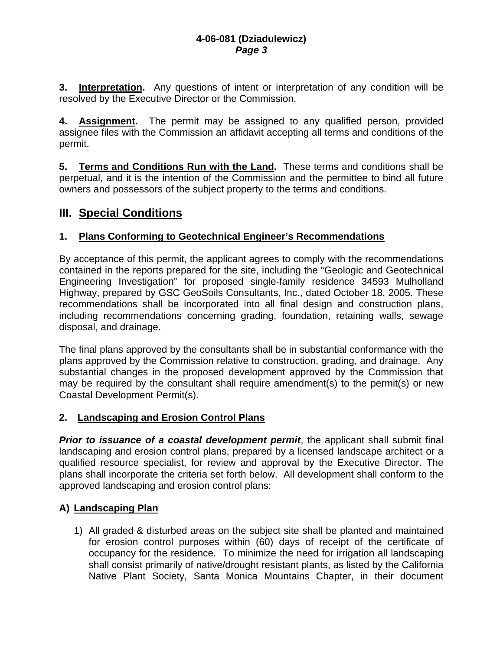**3. Interpretation.** Any questions of intent or interpretation of any condition will be resolved by the Executive Director or the Commission.

**4. Assignment.** The permit may be assigned to any qualified person, provided assignee files with the Commission an affidavit accepting all terms and conditions of the permit.

**5. Terms and Conditions Run with the Land.** These terms and conditions shall be perpetual, and it is the intention of the Commission and the permittee to bind all future owners and possessors of the subject property to the terms and conditions.

## **III. Special Conditions**

### **1. Plans Conforming to Geotechnical Engineer's Recommendations**

By acceptance of this permit, the applicant agrees to comply with the recommendations contained in the reports prepared for the site, including the "Geologic and Geotechnical Engineering Investigation" for proposed single-family residence 34593 Mulholland Highway, prepared by GSC GeoSoils Consultants, Inc., dated October 18, 2005. These recommendations shall be incorporated into all final design and construction plans, including recommendations concerning grading, foundation, retaining walls, sewage disposal, and drainage.

The final plans approved by the consultants shall be in substantial conformance with the plans approved by the Commission relative to construction, grading, and drainage. Any substantial changes in the proposed development approved by the Commission that may be required by the consultant shall require amendment(s) to the permit(s) or new Coastal Development Permit(s).

### **2. Landscaping and Erosion Control Plans**

**Prior to issuance of a coastal development permit**, the applicant shall submit final landscaping and erosion control plans, prepared by a licensed landscape architect or a qualified resource specialist, for review and approval by the Executive Director. The plans shall incorporate the criteria set forth below. All development shall conform to the approved landscaping and erosion control plans:

### **A) Landscaping Plan**

1) All graded & disturbed areas on the subject site shall be planted and maintained for erosion control purposes within (60) days of receipt of the certificate of occupancy for the residence. To minimize the need for irrigation all landscaping shall consist primarily of native/drought resistant plants, as listed by the California Native Plant Society, Santa Monica Mountains Chapter, in their document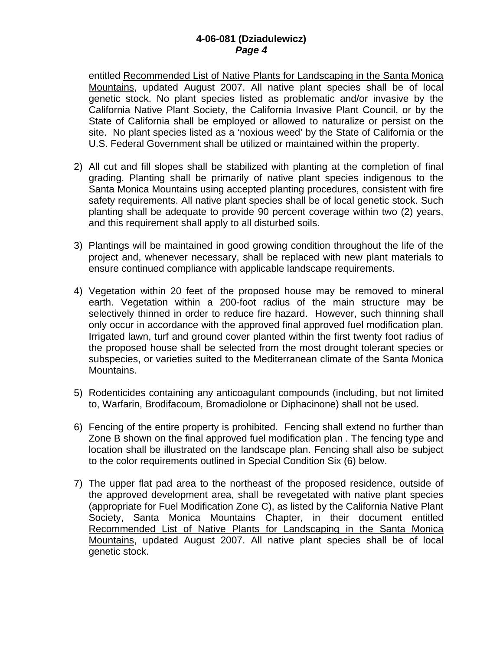entitled Recommended List of Native Plants for Landscaping in the Santa Monica Mountains, updated August 2007. All native plant species shall be of local genetic stock. No plant species listed as problematic and/or invasive by the California Native Plant Society, the California Invasive Plant Council, or by the State of California shall be employed or allowed to naturalize or persist on the site. No plant species listed as a 'noxious weed' by the State of California or the U.S. Federal Government shall be utilized or maintained within the property.

- 2) All cut and fill slopes shall be stabilized with planting at the completion of final grading. Planting shall be primarily of native plant species indigenous to the Santa Monica Mountains using accepted planting procedures, consistent with fire safety requirements. All native plant species shall be of local genetic stock. Such planting shall be adequate to provide 90 percent coverage within two (2) years, and this requirement shall apply to all disturbed soils.
- 3) Plantings will be maintained in good growing condition throughout the life of the project and, whenever necessary, shall be replaced with new plant materials to ensure continued compliance with applicable landscape requirements.
- 4) Vegetation within 20 feet of the proposed house may be removed to mineral earth. Vegetation within a 200-foot radius of the main structure may be selectively thinned in order to reduce fire hazard. However, such thinning shall only occur in accordance with the approved final approved fuel modification plan. Irrigated lawn, turf and ground cover planted within the first twenty foot radius of the proposed house shall be selected from the most drought tolerant species or subspecies, or varieties suited to the Mediterranean climate of the Santa Monica Mountains.
- 5) Rodenticides containing any anticoagulant compounds (including, but not limited to, Warfarin, Brodifacoum, Bromadiolone or Diphacinone) shall not be used.
- 6) Fencing of the entire property is prohibited. Fencing shall extend no further than Zone B shown on the final approved fuel modification plan . The fencing type and location shall be illustrated on the landscape plan. Fencing shall also be subject to the color requirements outlined in Special Condition Six (6) below.
- 7) The upper flat pad area to the northeast of the proposed residence, outside of the approved development area, shall be revegetated with native plant species (appropriate for Fuel Modification Zone C), as listed by the California Native Plant Society, Santa Monica Mountains Chapter, in their document entitled Recommended List of Native Plants for Landscaping in the Santa Monica Mountains, updated August 2007. All native plant species shall be of local genetic stock.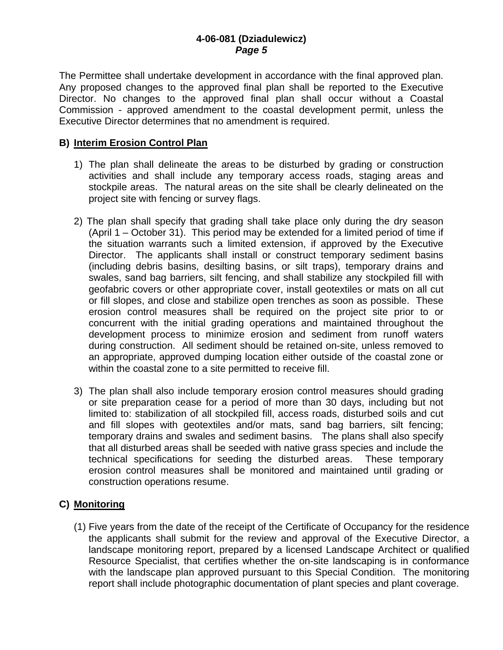The Permittee shall undertake development in accordance with the final approved plan. Any proposed changes to the approved final plan shall be reported to the Executive Director. No changes to the approved final plan shall occur without a Coastal Commission - approved amendment to the coastal development permit, unless the Executive Director determines that no amendment is required.

#### **B) Interim Erosion Control Plan**

- 1) The plan shall delineate the areas to be disturbed by grading or construction activities and shall include any temporary access roads, staging areas and stockpile areas. The natural areas on the site shall be clearly delineated on the project site with fencing or survey flags.
- 2) The plan shall specify that grading shall take place only during the dry season (April 1 – October 31). This period may be extended for a limited period of time if the situation warrants such a limited extension, if approved by the Executive Director. The applicants shall install or construct temporary sediment basins (including debris basins, desilting basins, or silt traps), temporary drains and swales, sand bag barriers, silt fencing, and shall stabilize any stockpiled fill with geofabric covers or other appropriate cover, install geotextiles or mats on all cut or fill slopes, and close and stabilize open trenches as soon as possible. These erosion control measures shall be required on the project site prior to or concurrent with the initial grading operations and maintained throughout the development process to minimize erosion and sediment from runoff waters during construction. All sediment should be retained on-site, unless removed to an appropriate, approved dumping location either outside of the coastal zone or within the coastal zone to a site permitted to receive fill.
- 3) The plan shall also include temporary erosion control measures should grading or site preparation cease for a period of more than 30 days, including but not limited to: stabilization of all stockpiled fill, access roads, disturbed soils and cut and fill slopes with geotextiles and/or mats, sand bag barriers, silt fencing; temporary drains and swales and sediment basins. The plans shall also specify that all disturbed areas shall be seeded with native grass species and include the technical specifications for seeding the disturbed areas. These temporary erosion control measures shall be monitored and maintained until grading or construction operations resume.

### **C) Monitoring**

(1) Five years from the date of the receipt of the Certificate of Occupancy for the residence the applicants shall submit for the review and approval of the Executive Director, a landscape monitoring report, prepared by a licensed Landscape Architect or qualified Resource Specialist, that certifies whether the on-site landscaping is in conformance with the landscape plan approved pursuant to this Special Condition. The monitoring report shall include photographic documentation of plant species and plant coverage.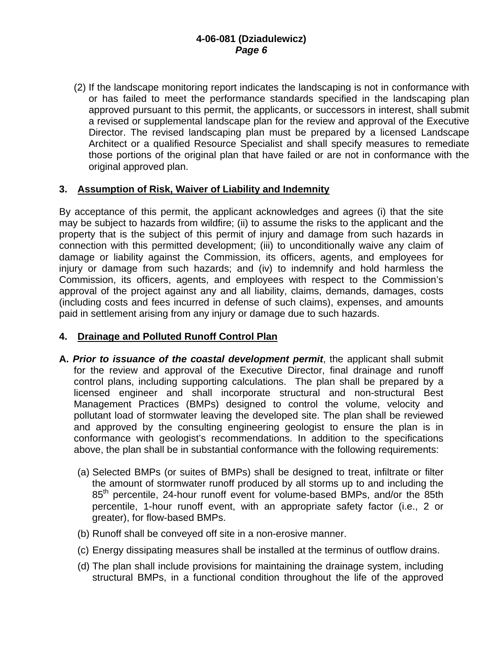(2) If the landscape monitoring report indicates the landscaping is not in conformance with or has failed to meet the performance standards specified in the landscaping plan approved pursuant to this permit, the applicants, or successors in interest, shall submit a revised or supplemental landscape plan for the review and approval of the Executive Director. The revised landscaping plan must be prepared by a licensed Landscape Architect or a qualified Resource Specialist and shall specify measures to remediate those portions of the original plan that have failed or are not in conformance with the original approved plan.

#### **3. Assumption of Risk, Waiver of Liability and Indemnity**

By acceptance of this permit, the applicant acknowledges and agrees (i) that the site may be subject to hazards from wildfire; (ii) to assume the risks to the applicant and the property that is the subject of this permit of injury and damage from such hazards in connection with this permitted development; (iii) to unconditionally waive any claim of damage or liability against the Commission, its officers, agents, and employees for injury or damage from such hazards; and (iv) to indemnify and hold harmless the Commission, its officers, agents, and employees with respect to the Commission's approval of the project against any and all liability, claims, demands, damages, costs (including costs and fees incurred in defense of such claims), expenses, and amounts paid in settlement arising from any injury or damage due to such hazards.

### **4. Drainage and Polluted Runoff Control Plan**

- **A.** *Prior to issuance of the coastal development permit*, the applicant shall submit for the review and approval of the Executive Director, final drainage and runoff control plans, including supporting calculations. The plan shall be prepared by a licensed engineer and shall incorporate structural and non-structural Best Management Practices (BMPs) designed to control the volume, velocity and pollutant load of stormwater leaving the developed site. The plan shall be reviewed and approved by the consulting engineering geologist to ensure the plan is in conformance with geologist's recommendations. In addition to the specifications above, the plan shall be in substantial conformance with the following requirements:
	- (a) Selected BMPs (or suites of BMPs) shall be designed to treat, infiltrate or filter the amount of stormwater runoff produced by all storms up to and including the 85<sup>th</sup> percentile, 24-hour runoff event for volume-based BMPs, and/or the 85th percentile, 1-hour runoff event, with an appropriate safety factor (i.e., 2 or greater), for flow-based BMPs.
	- (b) Runoff shall be conveyed off site in a non-erosive manner.
	- (c) Energy dissipating measures shall be installed at the terminus of outflow drains.
	- (d) The plan shall include provisions for maintaining the drainage system, including structural BMPs, in a functional condition throughout the life of the approved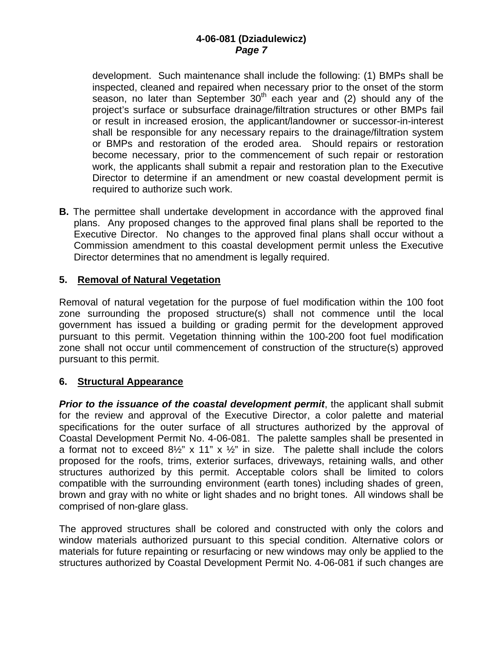development. Such maintenance shall include the following: (1) BMPs shall be inspected, cleaned and repaired when necessary prior to the onset of the storm season, no later than September  $30<sup>th</sup>$  each year and (2) should any of the project's surface or subsurface drainage/filtration structures or other BMPs fail or result in increased erosion, the applicant/landowner or successor-in-interest shall be responsible for any necessary repairs to the drainage/filtration system or BMPs and restoration of the eroded area. Should repairs or restoration become necessary, prior to the commencement of such repair or restoration work, the applicants shall submit a repair and restoration plan to the Executive Director to determine if an amendment or new coastal development permit is required to authorize such work.

**B.** The permittee shall undertake development in accordance with the approved final plans. Any proposed changes to the approved final plans shall be reported to the Executive Director. No changes to the approved final plans shall occur without a Commission amendment to this coastal development permit unless the Executive Director determines that no amendment is legally required.

#### **5. Removal of Natural Vegetation**

Removal of natural vegetation for the purpose of fuel modification within the 100 foot zone surrounding the proposed structure(s) shall not commence until the local government has issued a building or grading permit for the development approved pursuant to this permit. Vegetation thinning within the 100-200 foot fuel modification zone shall not occur until commencement of construction of the structure(s) approved pursuant to this permit.

#### **6. Structural Appearance**

*Prior to the issuance of the coastal development permit, the applicant shall submit* for the review and approval of the Executive Director, a color palette and material specifications for the outer surface of all structures authorized by the approval of Coastal Development Permit No. 4-06-081. The palette samples shall be presented in a format not to exceed  $8\frac{1}{2}$ " x 11" x  $\frac{1}{2}$ " in size. The palette shall include the colors proposed for the roofs, trims, exterior surfaces, driveways, retaining walls, and other structures authorized by this permit. Acceptable colors shall be limited to colors compatible with the surrounding environment (earth tones) including shades of green, brown and gray with no white or light shades and no bright tones. All windows shall be comprised of non-glare glass.

The approved structures shall be colored and constructed with only the colors and window materials authorized pursuant to this special condition. Alternative colors or materials for future repainting or resurfacing or new windows may only be applied to the structures authorized by Coastal Development Permit No. 4-06-081 if such changes are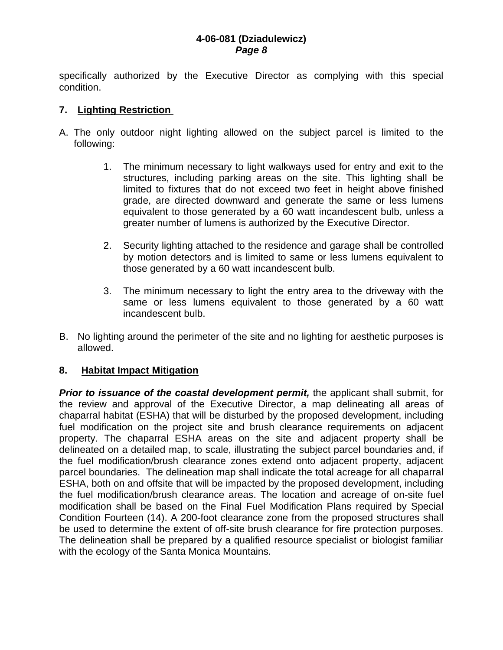specifically authorized by the Executive Director as complying with this special condition.

#### **7. Lighting Restriction**

- A. The only outdoor night lighting allowed on the subject parcel is limited to the following:
	- 1. The minimum necessary to light walkways used for entry and exit to the structures, including parking areas on the site. This lighting shall be limited to fixtures that do not exceed two feet in height above finished grade, are directed downward and generate the same or less lumens equivalent to those generated by a 60 watt incandescent bulb, unless a greater number of lumens is authorized by the Executive Director.
	- 2. Security lighting attached to the residence and garage shall be controlled by motion detectors and is limited to same or less lumens equivalent to those generated by a 60 watt incandescent bulb.
	- 3. The minimum necessary to light the entry area to the driveway with the same or less lumens equivalent to those generated by a 60 watt incandescent bulb.
- B. No lighting around the perimeter of the site and no lighting for aesthetic purposes is allowed.

#### **8. Habitat Impact Mitigation**

*Prior to issuance of the coastal development permit,* the applicant shall submit, for the review and approval of the Executive Director, a map delineating all areas of chaparral habitat (ESHA) that will be disturbed by the proposed development, including fuel modification on the project site and brush clearance requirements on adjacent property. The chaparral ESHA areas on the site and adjacent property shall be delineated on a detailed map, to scale, illustrating the subject parcel boundaries and, if the fuel modification/brush clearance zones extend onto adjacent property, adjacent parcel boundaries. The delineation map shall indicate the total acreage for all chaparral ESHA, both on and offsite that will be impacted by the proposed development, including the fuel modification/brush clearance areas. The location and acreage of on-site fuel modification shall be based on the Final Fuel Modification Plans required by Special Condition Fourteen (14). A 200-foot clearance zone from the proposed structures shall be used to determine the extent of off-site brush clearance for fire protection purposes. The delineation shall be prepared by a qualified resource specialist or biologist familiar with the ecology of the Santa Monica Mountains.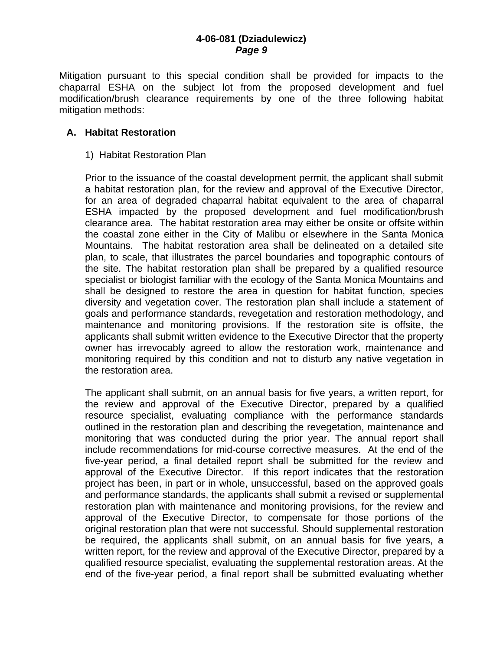Mitigation pursuant to this special condition shall be provided for impacts to the chaparral ESHA on the subject lot from the proposed development and fuel modification/brush clearance requirements by one of the three following habitat mitigation methods:

#### **A. Habitat Restoration**

1) Habitat Restoration Plan

Prior to the issuance of the coastal development permit, the applicant shall submit a habitat restoration plan, for the review and approval of the Executive Director, for an area of degraded chaparral habitat equivalent to the area of chaparral ESHA impacted by the proposed development and fuel modification/brush clearance area. The habitat restoration area may either be onsite or offsite within the coastal zone either in the City of Malibu or elsewhere in the Santa Monica Mountains. The habitat restoration area shall be delineated on a detailed site plan, to scale, that illustrates the parcel boundaries and topographic contours of the site. The habitat restoration plan shall be prepared by a qualified resource specialist or biologist familiar with the ecology of the Santa Monica Mountains and shall be designed to restore the area in question for habitat function, species diversity and vegetation cover. The restoration plan shall include a statement of goals and performance standards, revegetation and restoration methodology, and maintenance and monitoring provisions. If the restoration site is offsite, the applicants shall submit written evidence to the Executive Director that the property owner has irrevocably agreed to allow the restoration work, maintenance and monitoring required by this condition and not to disturb any native vegetation in the restoration area.

The applicant shall submit, on an annual basis for five years, a written report, for the review and approval of the Executive Director, prepared by a qualified resource specialist, evaluating compliance with the performance standards outlined in the restoration plan and describing the revegetation, maintenance and monitoring that was conducted during the prior year. The annual report shall include recommendations for mid-course corrective measures. At the end of the five-year period, a final detailed report shall be submitted for the review and approval of the Executive Director. If this report indicates that the restoration project has been, in part or in whole, unsuccessful, based on the approved goals and performance standards, the applicants shall submit a revised or supplemental restoration plan with maintenance and monitoring provisions, for the review and approval of the Executive Director, to compensate for those portions of the original restoration plan that were not successful. Should supplemental restoration be required, the applicants shall submit, on an annual basis for five years, a written report, for the review and approval of the Executive Director, prepared by a qualified resource specialist, evaluating the supplemental restoration areas. At the end of the five-year period, a final report shall be submitted evaluating whether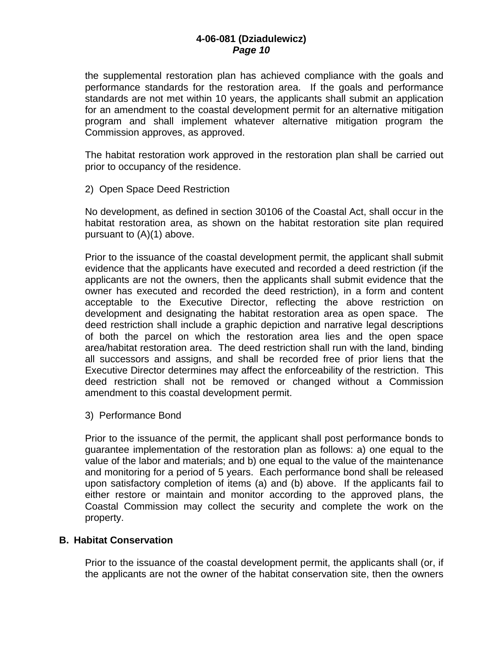the supplemental restoration plan has achieved compliance with the goals and performance standards for the restoration area. If the goals and performance standards are not met within 10 years, the applicants shall submit an application for an amendment to the coastal development permit for an alternative mitigation program and shall implement whatever alternative mitigation program the Commission approves, as approved.

The habitat restoration work approved in the restoration plan shall be carried out prior to occupancy of the residence.

2) Open Space Deed Restriction

No development, as defined in section 30106 of the Coastal Act, shall occur in the habitat restoration area, as shown on the habitat restoration site plan required pursuant to (A)(1) above.

Prior to the issuance of the coastal development permit, the applicant shall submit evidence that the applicants have executed and recorded a deed restriction (if the applicants are not the owners, then the applicants shall submit evidence that the owner has executed and recorded the deed restriction), in a form and content acceptable to the Executive Director, reflecting the above restriction on development and designating the habitat restoration area as open space. The deed restriction shall include a graphic depiction and narrative legal descriptions of both the parcel on which the restoration area lies and the open space area/habitat restoration area. The deed restriction shall run with the land, binding all successors and assigns, and shall be recorded free of prior liens that the Executive Director determines may affect the enforceability of the restriction. This deed restriction shall not be removed or changed without a Commission amendment to this coastal development permit.

3) Performance Bond

Prior to the issuance of the permit, the applicant shall post performance bonds to guarantee implementation of the restoration plan as follows: a) one equal to the value of the labor and materials; and b) one equal to the value of the maintenance and monitoring for a period of 5 years. Each performance bond shall be released upon satisfactory completion of items (a) and (b) above. If the applicants fail to either restore or maintain and monitor according to the approved plans, the Coastal Commission may collect the security and complete the work on the property.

#### **B. Habitat Conservation**

Prior to the issuance of the coastal development permit, the applicants shall (or, if the applicants are not the owner of the habitat conservation site, then the owners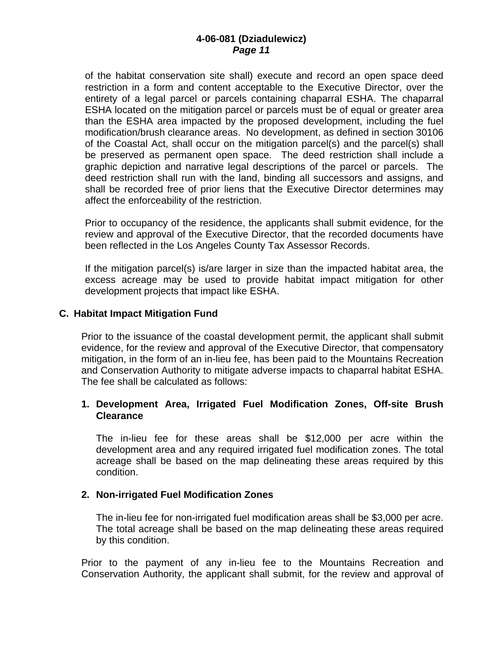of the habitat conservation site shall) execute and record an open space deed restriction in a form and content acceptable to the Executive Director, over the entirety of a legal parcel or parcels containing chaparral ESHA. The chaparral ESHA located on the mitigation parcel or parcels must be of equal or greater area than the ESHA area impacted by the proposed development, including the fuel modification/brush clearance areas. No development, as defined in section 30106 of the Coastal Act, shall occur on the mitigation parcel(s) and the parcel(s) shall be preserved as permanent open space. The deed restriction shall include a graphic depiction and narrative legal descriptions of the parcel or parcels. The deed restriction shall run with the land, binding all successors and assigns, and shall be recorded free of prior liens that the Executive Director determines may affect the enforceability of the restriction.

Prior to occupancy of the residence, the applicants shall submit evidence, for the review and approval of the Executive Director, that the recorded documents have been reflected in the Los Angeles County Tax Assessor Records.

If the mitigation parcel(s) is/are larger in size than the impacted habitat area, the excess acreage may be used to provide habitat impact mitigation for other development projects that impact like ESHA.

#### **C. Habitat Impact Mitigation Fund**

Prior to the issuance of the coastal development permit, the applicant shall submit evidence, for the review and approval of the Executive Director, that compensatory mitigation, in the form of an in-lieu fee, has been paid to the Mountains Recreation and Conservation Authority to mitigate adverse impacts to chaparral habitat ESHA. The fee shall be calculated as follows:

#### **1. Development Area, Irrigated Fuel Modification Zones, Off-site Brush Clearance**

The in-lieu fee for these areas shall be \$12,000 per acre within the development area and any required irrigated fuel modification zones. The total acreage shall be based on the map delineating these areas required by this condition.

#### **2. Non-irrigated Fuel Modification Zones**

The in-lieu fee for non-irrigated fuel modification areas shall be \$3,000 per acre. The total acreage shall be based on the map delineating these areas required by this condition.

Prior to the payment of any in-lieu fee to the Mountains Recreation and Conservation Authority, the applicant shall submit, for the review and approval of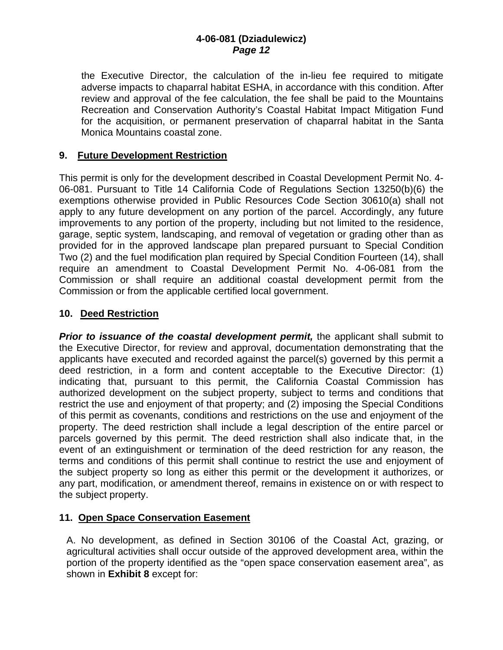the Executive Director, the calculation of the in-lieu fee required to mitigate adverse impacts to chaparral habitat ESHA, in accordance with this condition. After review and approval of the fee calculation, the fee shall be paid to the Mountains Recreation and Conservation Authority's Coastal Habitat Impact Mitigation Fund for the acquisition, or permanent preservation of chaparral habitat in the Santa Monica Mountains coastal zone.

### **9. Future Development Restriction**

This permit is only for the development described in Coastal Development Permit No. 4- 06-081. Pursuant to Title 14 California Code of Regulations Section 13250(b)(6) the exemptions otherwise provided in Public Resources Code Section 30610(a) shall not apply to any future development on any portion of the parcel. Accordingly, any future improvements to any portion of the property, including but not limited to the residence, garage, septic system, landscaping, and removal of vegetation or grading other than as provided for in the approved landscape plan prepared pursuant to Special Condition Two (2) and the fuel modification plan required by Special Condition Fourteen (14), shall require an amendment to Coastal Development Permit No. 4-06-081 from the Commission or shall require an additional coastal development permit from the Commission or from the applicable certified local government.

#### **10. Deed Restriction**

*Prior to issuance of the coastal development permit,* the applicant shall submit to the Executive Director, for review and approval, documentation demonstrating that the applicants have executed and recorded against the parcel(s) governed by this permit a deed restriction, in a form and content acceptable to the Executive Director: (1) indicating that, pursuant to this permit, the California Coastal Commission has authorized development on the subject property, subject to terms and conditions that restrict the use and enjoyment of that property; and (2) imposing the Special Conditions of this permit as covenants, conditions and restrictions on the use and enjoyment of the property. The deed restriction shall include a legal description of the entire parcel or parcels governed by this permit. The deed restriction shall also indicate that, in the event of an extinguishment or termination of the deed restriction for any reason, the terms and conditions of this permit shall continue to restrict the use and enjoyment of the subject property so long as either this permit or the development it authorizes, or any part, modification, or amendment thereof, remains in existence on or with respect to the subject property.

### **11. Open Space Conservation Easement**

A. No development, as defined in Section 30106 of the Coastal Act, grazing, or agricultural activities shall occur outside of the approved development area, within the portion of the property identified as the "open space conservation easement area", as shown in **Exhibit 8** except for: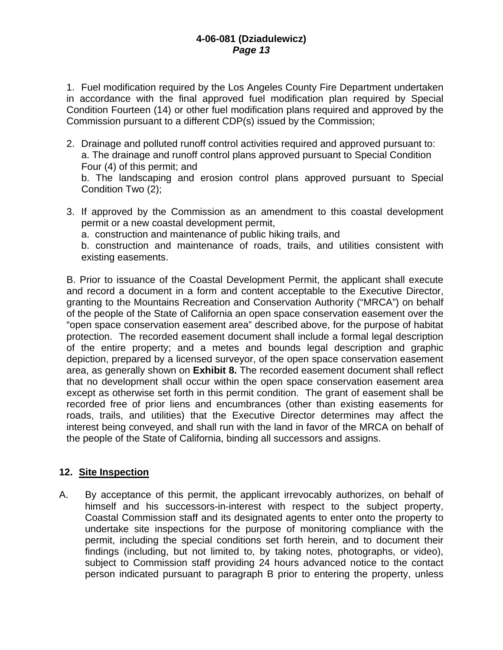1. Fuel modification required by the Los Angeles County Fire Department undertaken in accordance with the final approved fuel modification plan required by Special Condition Fourteen (14) or other fuel modification plans required and approved by the Commission pursuant to a different CDP(s) issued by the Commission;

2. Drainage and polluted runoff control activities required and approved pursuant to: a. The drainage and runoff control plans approved pursuant to Special Condition Four (4) of this permit; and

 b. The landscaping and erosion control plans approved pursuant to Special Condition Two (2);

3. If approved by the Commission as an amendment to this coastal development permit or a new coastal development permit,

a. construction and maintenance of public hiking trails, and

 b. construction and maintenance of roads, trails, and utilities consistent with existing easements.

B. Prior to issuance of the Coastal Development Permit, the applicant shall execute and record a document in a form and content acceptable to the Executive Director, granting to the Mountains Recreation and Conservation Authority ("MRCA") on behalf of the people of the State of California an open space conservation easement over the "open space conservation easement area" described above, for the purpose of habitat protection. The recorded easement document shall include a formal legal description of the entire property; and a metes and bounds legal description and graphic depiction, prepared by a licensed surveyor, of the open space conservation easement area, as generally shown on **Exhibit 8.** The recorded easement document shall reflect that no development shall occur within the open space conservation easement area except as otherwise set forth in this permit condition. The grant of easement shall be recorded free of prior liens and encumbrances (other than existing easements for roads, trails, and utilities) that the Executive Director determines may affect the interest being conveyed, and shall run with the land in favor of the MRCA on behalf of the people of the State of California, binding all successors and assigns.

#### **12. Site Inspection**

A. By acceptance of this permit, the applicant irrevocably authorizes, on behalf of himself and his successors-in-interest with respect to the subject property, Coastal Commission staff and its designated agents to enter onto the property to undertake site inspections for the purpose of monitoring compliance with the permit, including the special conditions set forth herein, and to document their findings (including, but not limited to, by taking notes, photographs, or video), subject to Commission staff providing 24 hours advanced notice to the contact person indicated pursuant to paragraph B prior to entering the property, unless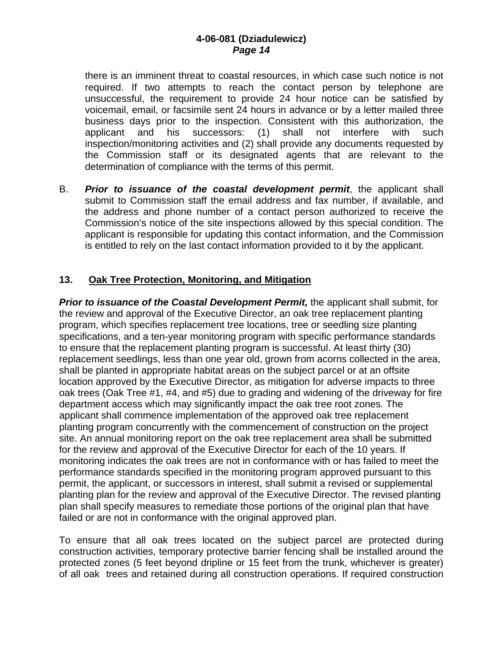there is an imminent threat to coastal resources, in which case such notice is not required. If two attempts to reach the contact person by telephone are unsuccessful, the requirement to provide 24 hour notice can be satisfied by voicemail, email, or facsimile sent 24 hours in advance or by a letter mailed three business days prior to the inspection. Consistent with this authorization, the applicant and his successors: (1) shall not interfere with such inspection/monitoring activities and (2) shall provide any documents requested by the Commission staff or its designated agents that are relevant to the determination of compliance with the terms of this permit.

B. *Prior to issuance of the coastal development permit*, the applicant shall submit to Commission staff the email address and fax number, if available, and the address and phone number of a contact person authorized to receive the Commission's notice of the site inspections allowed by this special condition. The applicant is responsible for updating this contact information, and the Commission is entitled to rely on the last contact information provided to it by the applicant.

### **13. Oak Tree Protection, Monitoring, and Mitigation**

 *Prior to issuance of the Coastal Development Permit,* the applicant shall submit, for the review and approval of the Executive Director, an oak tree replacement planting program, which specifies replacement tree locations, tree or seedling size planting specifications, and a ten-year monitoring program with specific performance standards to ensure that the replacement planting program is successful. At least thirty (30) replacement seedlings, less than one year old, grown from acorns collected in the area, shall be planted in appropriate habitat areas on the subject parcel or at an offsite location approved by the Executive Director, as mitigation for adverse impacts to three oak trees (Oak Tree #1, #4, and #5) due to grading and widening of the driveway for fire department access which may significantly impact the oak tree root zones. The applicant shall commence implementation of the approved oak tree replacement planting program concurrently with the commencement of construction on the project site. An annual monitoring report on the oak tree replacement area shall be submitted for the review and approval of the Executive Director for each of the 10 years. If monitoring indicates the oak trees are not in conformance with or has failed to meet the performance standards specified in the monitoring program approved pursuant to this permit, the applicant, or successors in interest, shall submit a revised or supplemental planting plan for the review and approval of the Executive Director. The revised planting plan shall specify measures to remediate those portions of the original plan that have failed or are not in conformance with the original approved plan.

 To ensure that all oak trees located on the subject parcel are protected during construction activities, temporary protective barrier fencing shall be installed around the protected zones (5 feet beyond dripline or 15 feet from the trunk, whichever is greater) of all oak trees and retained during all construction operations. If required construction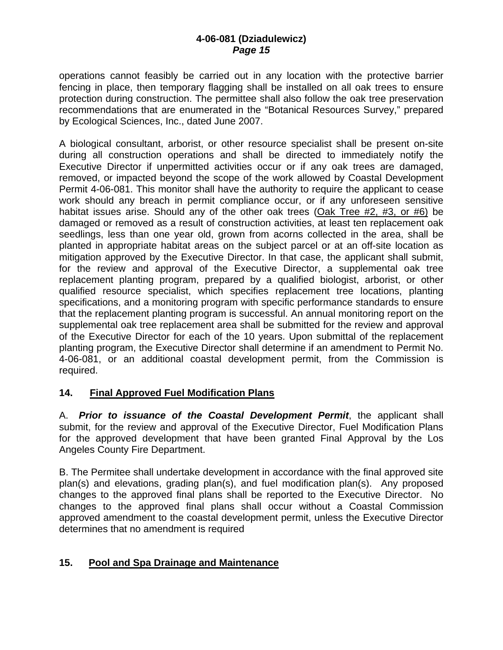operations cannot feasibly be carried out in any location with the protective barrier fencing in place, then temporary flagging shall be installed on all oak trees to ensure protection during construction. The permittee shall also follow the oak tree preservation recommendations that are enumerated in the "Botanical Resources Survey," prepared by Ecological Sciences, Inc., dated June 2007.

 A biological consultant, arborist, or other resource specialist shall be present on-site during all construction operations and shall be directed to immediately notify the Executive Director if unpermitted activities occur or if any oak trees are damaged, removed, or impacted beyond the scope of the work allowed by Coastal Development Permit 4-06-081. This monitor shall have the authority to require the applicant to cease work should any breach in permit compliance occur, or if any unforeseen sensitive habitat issues arise. Should any of the other oak trees (Oak Tree #2, #3, or #6) be damaged or removed as a result of construction activities, at least ten replacement oak seedlings, less than one year old, grown from acorns collected in the area, shall be planted in appropriate habitat areas on the subject parcel or at an off-site location as mitigation approved by the Executive Director. In that case, the applicant shall submit, for the review and approval of the Executive Director, a supplemental oak tree replacement planting program, prepared by a qualified biologist, arborist, or other qualified resource specialist, which specifies replacement tree locations, planting specifications, and a monitoring program with specific performance standards to ensure that the replacement planting program is successful. An annual monitoring report on the supplemental oak tree replacement area shall be submitted for the review and approval of the Executive Director for each of the 10 years. Upon submittal of the replacement planting program, the Executive Director shall determine if an amendment to Permit No. 4-06-081, or an additional coastal development permit, from the Commission is required.

### **14. Final Approved Fuel Modification Plans**

A. *Prior to issuance of the Coastal Development Permit*, the applicant shall submit, for the review and approval of the Executive Director, Fuel Modification Plans for the approved development that have been granted Final Approval by the Los Angeles County Fire Department.

B. The Permitee shall undertake development in accordance with the final approved site plan(s) and elevations, grading plan(s), and fuel modification plan(s). Any proposed changes to the approved final plans shall be reported to the Executive Director. No changes to the approved final plans shall occur without a Coastal Commission approved amendment to the coastal development permit, unless the Executive Director determines that no amendment is required

### **15. Pool and Spa Drainage and Maintenance**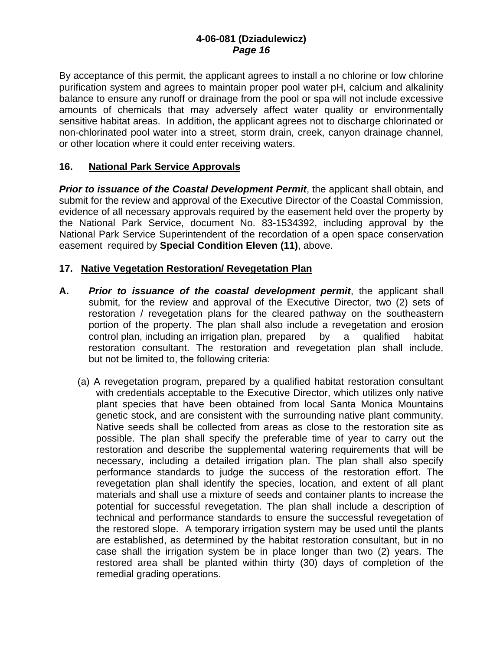By acceptance of this permit, the applicant agrees to install a no chlorine or low chlorine purification system and agrees to maintain proper pool water pH, calcium and alkalinity balance to ensure any runoff or drainage from the pool or spa will not include excessive amounts of chemicals that may adversely affect water quality or environmentally sensitive habitat areas. In addition, the applicant agrees not to discharge chlorinated or non-chlorinated pool water into a street, storm drain, creek, canyon drainage channel, or other location where it could enter receiving waters.

#### **16. National Park Service Approvals**

*Prior to issuance of the Coastal Development Permit*, the applicant shall obtain, and submit for the review and approval of the Executive Director of the Coastal Commission, evidence of all necessary approvals required by the easement held over the property by the National Park Service, document No. 83-1534392, including approval by the National Park Service Superintendent of the recordation of a open space conservation easement required by **Special Condition Eleven (11)**, above.

#### **17. Native Vegetation Restoration/ Revegetation Plan**

- **A.** *Prior to issuance of the coastal development permit*, the applicant shall submit, for the review and approval of the Executive Director, two (2) sets of restoration / revegetation plans for the cleared pathway on the southeastern portion of the property. The plan shall also include a revegetation and erosion control plan, including an irrigation plan, prepared by a qualified habitat restoration consultant. The restoration and revegetation plan shall include, but not be limited to, the following criteria:
	- (a) A revegetation program, prepared by a qualified habitat restoration consultant with credentials acceptable to the Executive Director, which utilizes only native plant species that have been obtained from local Santa Monica Mountains genetic stock, and are consistent with the surrounding native plant community. Native seeds shall be collected from areas as close to the restoration site as possible. The plan shall specify the preferable time of year to carry out the restoration and describe the supplemental watering requirements that will be necessary, including a detailed irrigation plan. The plan shall also specify performance standards to judge the success of the restoration effort. The revegetation plan shall identify the species, location, and extent of all plant materials and shall use a mixture of seeds and container plants to increase the potential for successful revegetation. The plan shall include a description of technical and performance standards to ensure the successful revegetation of the restored slope. A temporary irrigation system may be used until the plants are established, as determined by the habitat restoration consultant, but in no case shall the irrigation system be in place longer than two (2) years. The restored area shall be planted within thirty (30) days of completion of the remedial grading operations.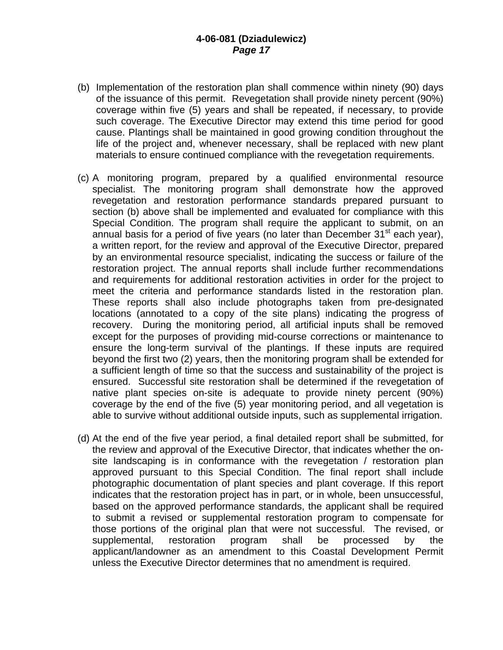- (b) Implementation of the restoration plan shall commence within ninety (90) days of the issuance of this permit. Revegetation shall provide ninety percent (90%) coverage within five (5) years and shall be repeated, if necessary, to provide such coverage. The Executive Director may extend this time period for good cause. Plantings shall be maintained in good growing condition throughout the life of the project and, whenever necessary, shall be replaced with new plant materials to ensure continued compliance with the revegetation requirements.
- (c) A monitoring program, prepared by a qualified environmental resource specialist. The monitoring program shall demonstrate how the approved revegetation and restoration performance standards prepared pursuant to section (b) above shall be implemented and evaluated for compliance with this Special Condition. The program shall require the applicant to submit, on an annual basis for a period of five years (no later than December  $31<sup>st</sup>$  each year), a written report, for the review and approval of the Executive Director, prepared by an environmental resource specialist, indicating the success or failure of the restoration project. The annual reports shall include further recommendations and requirements for additional restoration activities in order for the project to meet the criteria and performance standards listed in the restoration plan. These reports shall also include photographs taken from pre-designated locations (annotated to a copy of the site plans) indicating the progress of recovery. During the monitoring period, all artificial inputs shall be removed except for the purposes of providing mid-course corrections or maintenance to ensure the long-term survival of the plantings. If these inputs are required beyond the first two (2) years, then the monitoring program shall be extended for a sufficient length of time so that the success and sustainability of the project is ensured. Successful site restoration shall be determined if the revegetation of native plant species on-site is adequate to provide ninety percent (90%) coverage by the end of the five (5) year monitoring period, and all vegetation is able to survive without additional outside inputs, such as supplemental irrigation.
- (d) At the end of the five year period, a final detailed report shall be submitted, for the review and approval of the Executive Director, that indicates whether the onsite landscaping is in conformance with the revegetation / restoration plan approved pursuant to this Special Condition. The final report shall include photographic documentation of plant species and plant coverage. If this report indicates that the restoration project has in part, or in whole, been unsuccessful, based on the approved performance standards, the applicant shall be required to submit a revised or supplemental restoration program to compensate for those portions of the original plan that were not successful. The revised, or supplemental, restoration program shall be processed by the applicant/landowner as an amendment to this Coastal Development Permit unless the Executive Director determines that no amendment is required.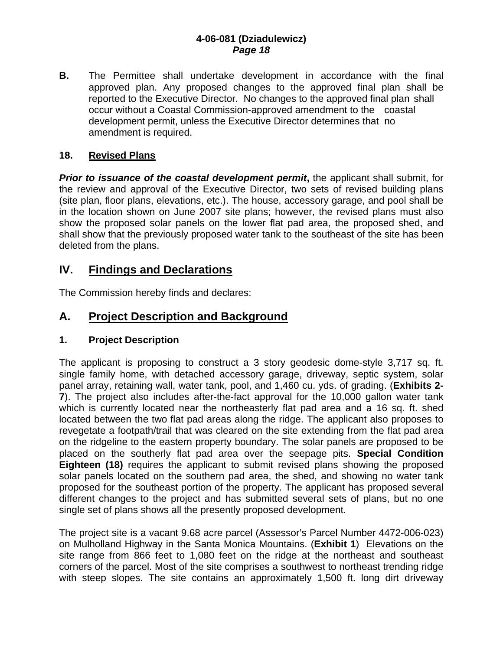**B.** The Permittee shall undertake development in accordance with the final approved plan. Any proposed changes to the approved final plan shall be reported to the Executive Director. No changes to the approved final plan shall occur without a Coastal Commission-approved amendment to the coastal development permit, unless the Executive Director determines that no amendment is required.

#### **18. Revised Plans**

**Prior to issuance of the coastal development permit, the applicant shall submit, for** the review and approval of the Executive Director, two sets of revised building plans (site plan, floor plans, elevations, etc.). The house, accessory garage, and pool shall be in the location shown on June 2007 site plans; however, the revised plans must also show the proposed solar panels on the lower flat pad area, the proposed shed, and shall show that the previously proposed water tank to the southeast of the site has been deleted from the plans.

## **IV. Findings and Declarations**

The Commission hereby finds and declares:

## **A. Project Description and Background**

#### **1. Project Description**

The applicant is proposing to construct a 3 story geodesic dome-style 3,717 sq. ft. single family home, with detached accessory garage, driveway, septic system, solar panel array, retaining wall, water tank, pool, and 1,460 cu. yds. of grading. (**Exhibits 2- 7**). The project also includes after-the-fact approval for the 10,000 gallon water tank which is currently located near the northeasterly flat pad area and a 16 sq. ft. shed located between the two flat pad areas along the ridge. The applicant also proposes to revegetate a footpath/trail that was cleared on the site extending from the flat pad area on the ridgeline to the eastern property boundary. The solar panels are proposed to be placed on the southerly flat pad area over the seepage pits. **Special Condition Eighteen (18)** requires the applicant to submit revised plans showing the proposed solar panels located on the southern pad area, the shed, and showing no water tank proposed for the southeast portion of the property. The applicant has proposed several different changes to the project and has submitted several sets of plans, but no one single set of plans shows all the presently proposed development.

The project site is a vacant 9.68 acre parcel (Assessor's Parcel Number 4472-006-023) on Mulholland Highway in the Santa Monica Mountains. (**Exhibit 1**) Elevations on the site range from 866 feet to 1,080 feet on the ridge at the northeast and southeast corners of the parcel. Most of the site comprises a southwest to northeast trending ridge with steep slopes. The site contains an approximately 1,500 ft. long dirt driveway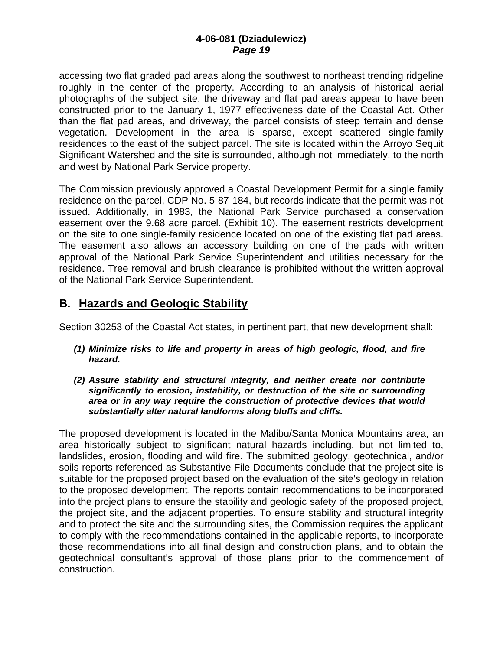accessing two flat graded pad areas along the southwest to northeast trending ridgeline roughly in the center of the property. According to an analysis of historical aerial photographs of the subject site, the driveway and flat pad areas appear to have been constructed prior to the January 1, 1977 effectiveness date of the Coastal Act. Other than the flat pad areas, and driveway, the parcel consists of steep terrain and dense vegetation. Development in the area is sparse, except scattered single-family residences to the east of the subject parcel. The site is located within the Arroyo Sequit Significant Watershed and the site is surrounded, although not immediately, to the north and west by National Park Service property.

The Commission previously approved a Coastal Development Permit for a single family residence on the parcel, CDP No. 5-87-184, but records indicate that the permit was not issued. Additionally, in 1983, the National Park Service purchased a conservation easement over the 9.68 acre parcel. (Exhibit 10). The easement restricts development on the site to one single-family residence located on one of the existing flat pad areas. The easement also allows an accessory building on one of the pads with written approval of the National Park Service Superintendent and utilities necessary for the residence. Tree removal and brush clearance is prohibited without the written approval of the National Park Service Superintendent.

## **B. Hazards and Geologic Stability**

Section 30253 of the Coastal Act states, in pertinent part, that new development shall:

- *(1) Minimize risks to life and property in areas of high geologic, flood, and fire hazard.*
- *(2) Assure stability and structural integrity, and neither create nor contribute significantly to erosion, instability, or destruction of the site or surrounding area or in any way require the construction of protective devices that would substantially alter natural landforms along bluffs and cliffs.*

The proposed development is located in the Malibu/Santa Monica Mountains area, an area historically subject to significant natural hazards including, but not limited to, landslides, erosion, flooding and wild fire. The submitted geology, geotechnical, and/or soils reports referenced as Substantive File Documents conclude that the project site is suitable for the proposed project based on the evaluation of the site's geology in relation to the proposed development. The reports contain recommendations to be incorporated into the project plans to ensure the stability and geologic safety of the proposed project, the project site, and the adjacent properties. To ensure stability and structural integrity and to protect the site and the surrounding sites, the Commission requires the applicant to comply with the recommendations contained in the applicable reports, to incorporate those recommendations into all final design and construction plans, and to obtain the geotechnical consultant's approval of those plans prior to the commencement of construction.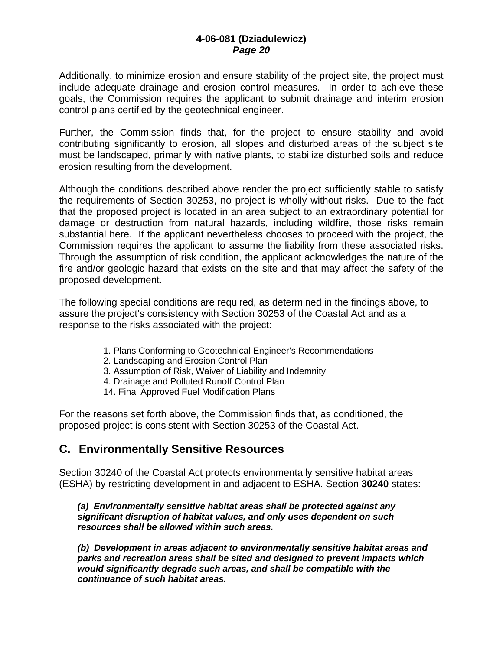Additionally, to minimize erosion and ensure stability of the project site, the project must include adequate drainage and erosion control measures. In order to achieve these goals, the Commission requires the applicant to submit drainage and interim erosion control plans certified by the geotechnical engineer.

Further, the Commission finds that, for the project to ensure stability and avoid contributing significantly to erosion, all slopes and disturbed areas of the subject site must be landscaped, primarily with native plants, to stabilize disturbed soils and reduce erosion resulting from the development.

Although the conditions described above render the project sufficiently stable to satisfy the requirements of Section 30253, no project is wholly without risks. Due to the fact that the proposed project is located in an area subject to an extraordinary potential for damage or destruction from natural hazards, including wildfire, those risks remain substantial here. If the applicant nevertheless chooses to proceed with the project, the Commission requires the applicant to assume the liability from these associated risks. Through the assumption of risk condition, the applicant acknowledges the nature of the fire and/or geologic hazard that exists on the site and that may affect the safety of the proposed development.

The following special conditions are required, as determined in the findings above, to assure the project's consistency with Section 30253 of the Coastal Act and as a response to the risks associated with the project:

- 1. Plans Conforming to Geotechnical Engineer's Recommendations
- 2. Landscaping and Erosion Control Plan
- 3. Assumption of Risk, Waiver of Liability and Indemnity
- 4. Drainage and Polluted Runoff Control Plan
- 14. Final Approved Fuel Modification Plans

For the reasons set forth above, the Commission finds that, as conditioned, the proposed project is consistent with Section 30253 of the Coastal Act.

### **C. Environmentally Sensitive Resources**

Section 30240 of the Coastal Act protects environmentally sensitive habitat areas (ESHA) by restricting development in and adjacent to ESHA. Section **30240** states:

#### *(a) Environmentally sensitive habitat areas shall be protected against any significant disruption of habitat values, and only uses dependent on such resources shall be allowed within such areas.*

 *(b) Development in areas adjacent to environmentally sensitive habitat areas and parks and recreation areas shall be sited and designed to prevent impacts which would significantly degrade such areas, and shall be compatible with the continuance of such habitat areas.*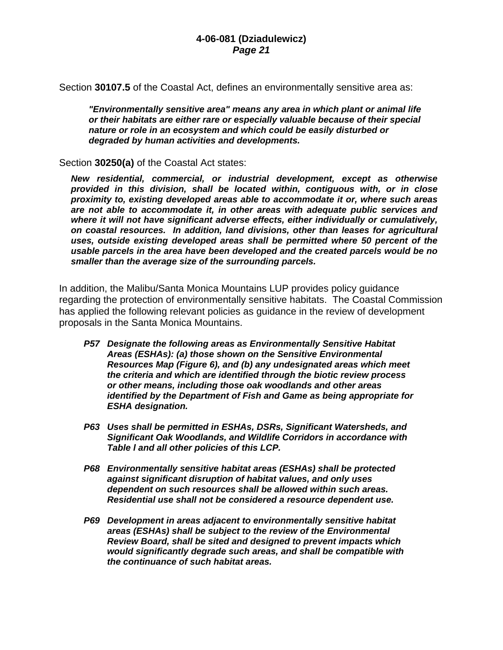Section **30107.5** of the Coastal Act, defines an environmentally sensitive area as:

*"Environmentally sensitive area" means any area in which plant or animal life or their habitats are either rare or especially valuable because of their special nature or role in an ecosystem and which could be easily disturbed or degraded by human activities and developments.* 

Section **30250(a)** of the Coastal Act states:

*New residential, commercial, or industrial development, except as otherwise provided in this division, shall be located within, contiguous with, or in close proximity to, existing developed areas able to accommodate it or, where such areas are not able to accommodate it, in other areas with adequate public services and where it will not have significant adverse effects, either individually or cumulatively, on coastal resources. In addition, land divisions, other than leases for agricultural uses, outside existing developed areas shall be permitted where 50 percent of the usable parcels in the area have been developed and the created parcels would be no smaller than the average size of the surrounding parcels.* 

In addition, the Malibu/Santa Monica Mountains LUP provides policy guidance regarding the protection of environmentally sensitive habitats. The Coastal Commission has applied the following relevant policies as guidance in the review of development proposals in the Santa Monica Mountains.

- *P57 Designate the following areas as Environmentally Sensitive Habitat Areas (ESHAs): (a) those shown on the Sensitive Environmental Resources Map (Figure 6), and (b) any undesignated areas which meet the criteria and which are identified through the biotic review process or other means, including those oak woodlands and other areas identified by the Department of Fish and Game as being appropriate for ESHA designation.*
- *P63 Uses shall be permitted in ESHAs, DSRs, Significant Watersheds, and Significant Oak Woodlands, and Wildlife Corridors in accordance with Table l and all other policies of this LCP.*
- *P68 Environmentally sensitive habitat areas (ESHAs) shall be protected against significant disruption of habitat values, and only uses dependent on such resources shall be allowed within such areas. Residential use shall not be considered a resource dependent use.*
- *P69 Development in areas adjacent to environmentally sensitive habitat areas (ESHAs) shall be subject to the review of the Environmental Review Board, shall be sited and designed to prevent impacts which would significantly degrade such areas, and shall be compatible with the continuance of such habitat areas.*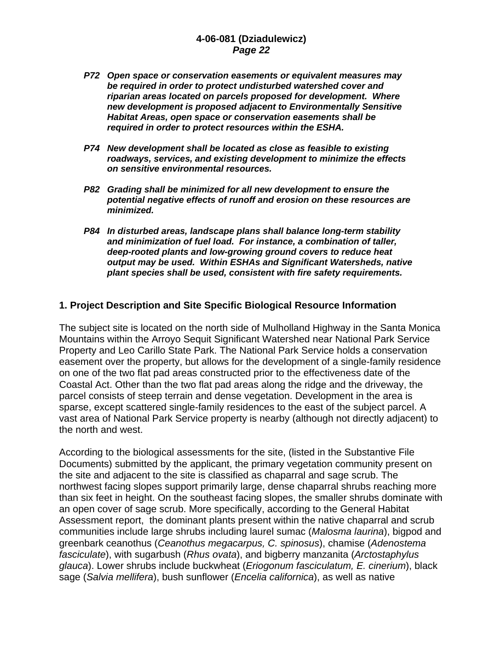- *P72 Open space or conservation easements or equivalent measures may be required in order to protect undisturbed watershed cover and riparian areas located on parcels proposed for development. Where new development is proposed adjacent to Environmentally Sensitive Habitat Areas, open space or conservation easements shall be required in order to protect resources within the ESHA.*
- *P74 New development shall be located as close as feasible to existing roadways, services, and existing development to minimize the effects on sensitive environmental resources.*
- *P82 Grading shall be minimized for all new development to ensure the potential negative effects of runoff and erosion on these resources are minimized.*
- *P84 In disturbed areas, landscape plans shall balance long-term stability and minimization of fuel load. For instance, a combination of taller, deep-rooted plants and low-growing ground covers to reduce heat output may be used. Within ESHAs and Significant Watersheds, native plant species shall be used, consistent with fire safety requirements.*

#### **1. Project Description and Site Specific Biological Resource Information**

The subject site is located on the north side of Mulholland Highway in the Santa Monica Mountains within the Arroyo Sequit Significant Watershed near National Park Service Property and Leo Carillo State Park. The National Park Service holds a conservation easement over the property, but allows for the development of a single-family residence on one of the two flat pad areas constructed prior to the effectiveness date of the Coastal Act. Other than the two flat pad areas along the ridge and the driveway, the parcel consists of steep terrain and dense vegetation. Development in the area is sparse, except scattered single-family residences to the east of the subject parcel. A vast area of National Park Service property is nearby (although not directly adjacent) to the north and west.

According to the biological assessments for the site, (listed in the Substantive File Documents) submitted by the applicant, the primary vegetation community present on the site and adjacent to the site is classified as chaparral and sage scrub. The northwest facing slopes support primarily large, dense chaparral shrubs reaching more than six feet in height. On the southeast facing slopes, the smaller shrubs dominate with an open cover of sage scrub. More specifically, according to the General Habitat Assessment report, the dominant plants present within the native chaparral and scrub communities include large shrubs including laurel sumac (*Malosma laurina*), bigpod and greenbark ceanothus (*Ceanothus megacarpus, C. spinosus*), chamise (*Adenostema fasciculate*), with sugarbush (*Rhus ovata*), and bigberry manzanita (*Arctostaphylus glauca*). Lower shrubs include buckwheat (*Eriogonum fasciculatum, E. cinerium*), black sage (*Salvia mellifera*), bush sunflower (*Encelia californica*), as well as native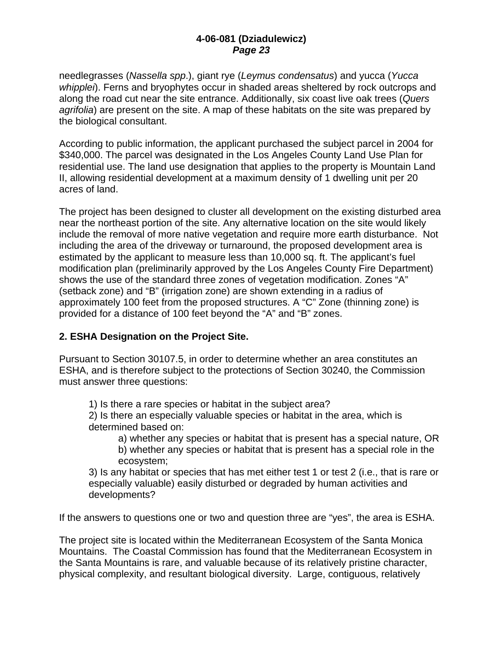needlegrasses (*Nassella spp*.), giant rye (*Leymus condensatus*) and yucca (*Yucca whipplei*). Ferns and bryophytes occur in shaded areas sheltered by rock outcrops and along the road cut near the site entrance. Additionally, six coast live oak trees (*Quers agrifolia*) are present on the site. A map of these habitats on the site was prepared by the biological consultant.

According to public information, the applicant purchased the subject parcel in 2004 for \$340,000. The parcel was designated in the Los Angeles County Land Use Plan for residential use. The land use designation that applies to the property is Mountain Land II, allowing residential development at a maximum density of 1 dwelling unit per 20 acres of land.

The project has been designed to cluster all development on the existing disturbed area near the northeast portion of the site. Any alternative location on the site would likely include the removal of more native vegetation and require more earth disturbance. Not including the area of the driveway or turnaround, the proposed development area is estimated by the applicant to measure less than 10,000 sq. ft. The applicant's fuel modification plan (preliminarily approved by the Los Angeles County Fire Department) shows the use of the standard three zones of vegetation modification. Zones "A" (setback zone) and "B" (irrigation zone) are shown extending in a radius of approximately 100 feet from the proposed structures. A "C" Zone (thinning zone) is provided for a distance of 100 feet beyond the "A" and "B" zones.

### **2. ESHA Designation on the Project Site.**

Pursuant to Section 30107.5, in order to determine whether an area constitutes an ESHA, and is therefore subject to the protections of Section 30240, the Commission must answer three questions:

1) Is there a rare species or habitat in the subject area?

2) Is there an especially valuable species or habitat in the area, which is determined based on:

a) whether any species or habitat that is present has a special nature, OR b) whether any species or habitat that is present has a special role in the ecosystem;

3) Is any habitat or species that has met either test 1 or test 2 (i.e., that is rare or especially valuable) easily disturbed or degraded by human activities and developments?

If the answers to questions one or two and question three are "yes", the area is ESHA.

The project site is located within the Mediterranean Ecosystem of the Santa Monica Mountains. The Coastal Commission has found that the Mediterranean Ecosystem in the Santa Mountains is rare, and valuable because of its relatively pristine character, physical complexity, and resultant biological diversity. Large, contiguous, relatively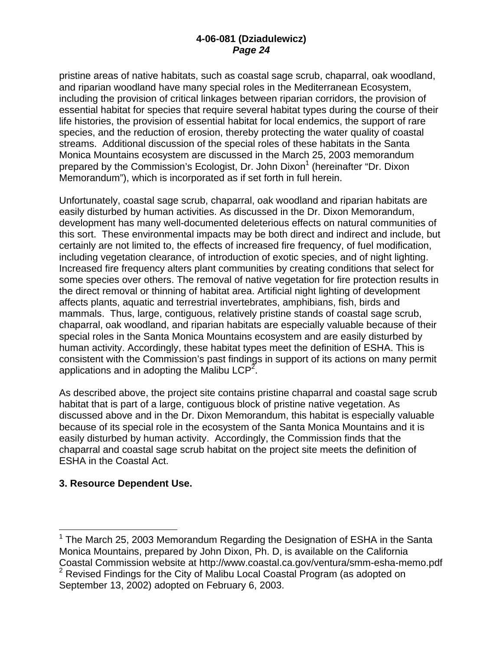pristine areas of native habitats, such as coastal sage scrub, chaparral, oak woodland, and riparian woodland have many special roles in the Mediterranean Ecosystem, including the provision of critical linkages between riparian corridors, the provision of essential habitat for species that require several habitat types during the course of their life histories, the provision of essential habitat for local endemics, the support of rare species, and the reduction of erosion, thereby protecting the water quality of coastal streams. Additional discussion of the special roles of these habitats in the Santa Monica Mountains ecosystem are discussed in the March 25, 2003 memorandum prepared by the Commission's Ecologist, Dr. John Dixon<sup>1</sup> (hereinafter "Dr. Dixon Memorandum"), which is incorporated as if set forth in full herein.

Unfortunately, coastal sage scrub, chaparral, oak woodland and riparian habitats are easily disturbed by human activities. As discussed in the Dr. Dixon Memorandum, development has many well-documented deleterious effects on natural communities of this sort. These environmental impacts may be both direct and indirect and include, but certainly are not limited to, the effects of increased fire frequency, of fuel modification, including vegetation clearance, of introduction of exotic species, and of night lighting. Increased fire frequency alters plant communities by creating conditions that select for some species over others. The removal of native vegetation for fire protection results in the direct removal or thinning of habitat area. Artificial night lighting of development affects plants, aquatic and terrestrial invertebrates, amphibians, fish, birds and mammals. Thus, large, contiguous, relatively pristine stands of coastal sage scrub, chaparral, oak woodland, and riparian habitats are especially valuable because of their special roles in the Santa Monica Mountains ecosystem and are easily disturbed by human activity. Accordingly, these habitat types meet the definition of ESHA. This is consistent with the Commission's past findings in support of its actions on many permit applications and in adopting the Malibu LCP<sup>2</sup>.

As described above, the project site contains pristine chaparral and coastal sage scrub habitat that is part of a large, contiguous block of pristine native vegetation. As discussed above and in the Dr. Dixon Memorandum, this habitat is especially valuable because of its special role in the ecosystem of the Santa Monica Mountains and it is easily disturbed by human activity. Accordingly, the Commission finds that the chaparral and coastal sage scrub habitat on the project site meets the definition of ESHA in the Coastal Act.

#### **3. Resource Dependent Use.**

 $\overline{a}$ 

 $1$  The March 25, 2003 Memorandum Regarding the Designation of ESHA in the Santa Monica Mountains, prepared by John Dixon, Ph. D, is available on the California Coastal Commission website at http://www.coastal.ca.gov/ventura/smm-esha-memo.pdf  $2$  Revised Findings for the City of Malibu Local Coastal Program (as adopted on September 13, 2002) adopted on February 6, 2003.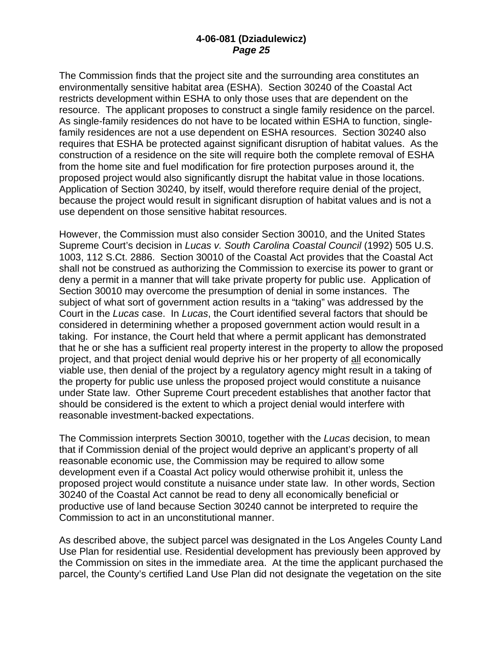The Commission finds that the project site and the surrounding area constitutes an environmentally sensitive habitat area (ESHA). Section 30240 of the Coastal Act restricts development within ESHA to only those uses that are dependent on the resource. The applicant proposes to construct a single family residence on the parcel. As single-family residences do not have to be located within ESHA to function, singlefamily residences are not a use dependent on ESHA resources. Section 30240 also requires that ESHA be protected against significant disruption of habitat values. As the construction of a residence on the site will require both the complete removal of ESHA from the home site and fuel modification for fire protection purposes around it, the proposed project would also significantly disrupt the habitat value in those locations. Application of Section 30240, by itself, would therefore require denial of the project, because the project would result in significant disruption of habitat values and is not a use dependent on those sensitive habitat resources.

However, the Commission must also consider Section 30010, and the United States Supreme Court's decision in *Lucas v. South Carolina Coastal Council* (1992) 505 U.S. 1003, 112 S.Ct. 2886. Section 30010 of the Coastal Act provides that the Coastal Act shall not be construed as authorizing the Commission to exercise its power to grant or deny a permit in a manner that will take private property for public use. Application of Section 30010 may overcome the presumption of denial in some instances. The subject of what sort of government action results in a "taking" was addressed by the Court in the *Lucas* case. In *Lucas*, the Court identified several factors that should be considered in determining whether a proposed government action would result in a taking. For instance, the Court held that where a permit applicant has demonstrated that he or she has a sufficient real property interest in the property to allow the proposed project, and that project denial would deprive his or her property of all economically viable use, then denial of the project by a regulatory agency might result in a taking of the property for public use unless the proposed project would constitute a nuisance under State law. Other Supreme Court precedent establishes that another factor that should be considered is the extent to which a project denial would interfere with reasonable investment-backed expectations.

The Commission interprets Section 30010, together with the *Lucas* decision, to mean that if Commission denial of the project would deprive an applicant's property of all reasonable economic use, the Commission may be required to allow some development even if a Coastal Act policy would otherwise prohibit it, unless the proposed project would constitute a nuisance under state law. In other words, Section 30240 of the Coastal Act cannot be read to deny all economically beneficial or productive use of land because Section 30240 cannot be interpreted to require the Commission to act in an unconstitutional manner.

As described above, the subject parcel was designated in the Los Angeles County Land Use Plan for residential use. Residential development has previously been approved by the Commission on sites in the immediate area. At the time the applicant purchased the parcel, the County's certified Land Use Plan did not designate the vegetation on the site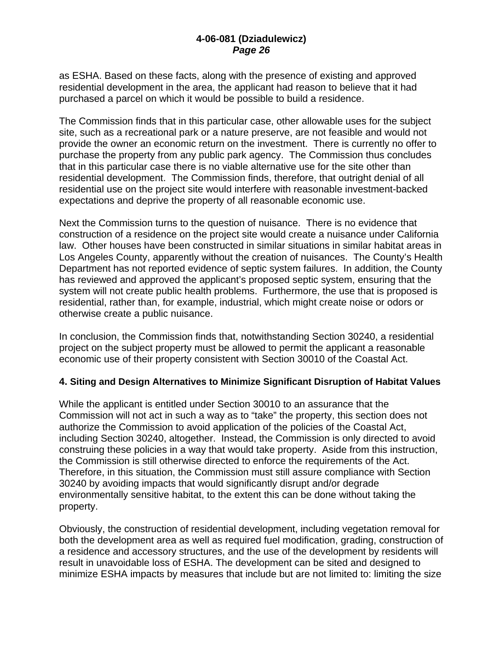as ESHA. Based on these facts, along with the presence of existing and approved residential development in the area, the applicant had reason to believe that it had purchased a parcel on which it would be possible to build a residence.

The Commission finds that in this particular case, other allowable uses for the subject site, such as a recreational park or a nature preserve, are not feasible and would not provide the owner an economic return on the investment. There is currently no offer to purchase the property from any public park agency. The Commission thus concludes that in this particular case there is no viable alternative use for the site other than residential development. The Commission finds, therefore, that outright denial of all residential use on the project site would interfere with reasonable investment-backed expectations and deprive the property of all reasonable economic use.

Next the Commission turns to the question of nuisance. There is no evidence that construction of a residence on the project site would create a nuisance under California law. Other houses have been constructed in similar situations in similar habitat areas in Los Angeles County, apparently without the creation of nuisances. The County's Health Department has not reported evidence of septic system failures. In addition, the County has reviewed and approved the applicant's proposed septic system, ensuring that the system will not create public health problems. Furthermore, the use that is proposed is residential, rather than, for example, industrial, which might create noise or odors or otherwise create a public nuisance.

In conclusion, the Commission finds that, notwithstanding Section 30240, a residential project on the subject property must be allowed to permit the applicant a reasonable economic use of their property consistent with Section 30010 of the Coastal Act.

#### **4. Siting and Design Alternatives to Minimize Significant Disruption of Habitat Values**

While the applicant is entitled under Section 30010 to an assurance that the Commission will not act in such a way as to "take" the property, this section does not authorize the Commission to avoid application of the policies of the Coastal Act, including Section 30240, altogether. Instead, the Commission is only directed to avoid construing these policies in a way that would take property. Aside from this instruction, the Commission is still otherwise directed to enforce the requirements of the Act. Therefore, in this situation, the Commission must still assure compliance with Section 30240 by avoiding impacts that would significantly disrupt and/or degrade environmentally sensitive habitat, to the extent this can be done without taking the property.

Obviously, the construction of residential development, including vegetation removal for both the development area as well as required fuel modification, grading, construction of a residence and accessory structures, and the use of the development by residents will result in unavoidable loss of ESHA. The development can be sited and designed to minimize ESHA impacts by measures that include but are not limited to: limiting the size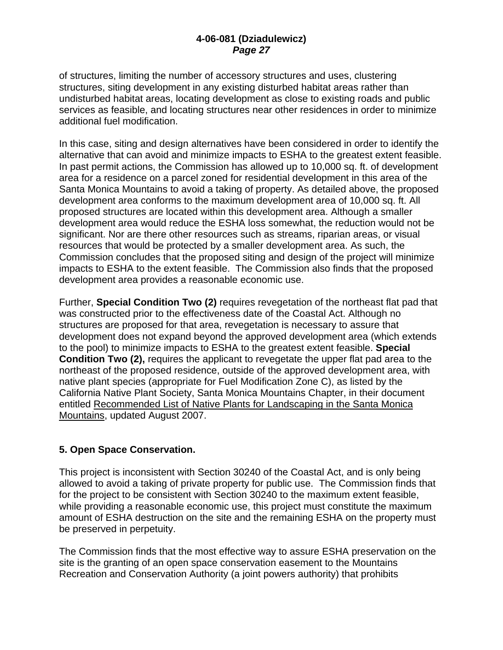of structures, limiting the number of accessory structures and uses, clustering structures, siting development in any existing disturbed habitat areas rather than undisturbed habitat areas, locating development as close to existing roads and public services as feasible, and locating structures near other residences in order to minimize additional fuel modification.

In this case, siting and design alternatives have been considered in order to identify the alternative that can avoid and minimize impacts to ESHA to the greatest extent feasible. In past permit actions, the Commission has allowed up to 10,000 sq. ft. of development area for a residence on a parcel zoned for residential development in this area of the Santa Monica Mountains to avoid a taking of property. As detailed above, the proposed development area conforms to the maximum development area of 10,000 sq. ft. All proposed structures are located within this development area. Although a smaller development area would reduce the ESHA loss somewhat, the reduction would not be significant. Nor are there other resources such as streams, riparian areas, or visual resources that would be protected by a smaller development area. As such, the Commission concludes that the proposed siting and design of the project will minimize impacts to ESHA to the extent feasible. The Commission also finds that the proposed development area provides a reasonable economic use.

Further, **Special Condition Two (2)** requires revegetation of the northeast flat pad that was constructed prior to the effectiveness date of the Coastal Act. Although no structures are proposed for that area, revegetation is necessary to assure that development does not expand beyond the approved development area (which extends to the pool) to minimize impacts to ESHA to the greatest extent feasible. **Special Condition Two (2),** requires the applicant to revegetate the upper flat pad area to the northeast of the proposed residence, outside of the approved development area, with native plant species (appropriate for Fuel Modification Zone C), as listed by the California Native Plant Society, Santa Monica Mountains Chapter, in their document entitled Recommended List of Native Plants for Landscaping in the Santa Monica Mountains, updated August 2007.

#### **5. Open Space Conservation.**

This project is inconsistent with Section 30240 of the Coastal Act, and is only being allowed to avoid a taking of private property for public use. The Commission finds that for the project to be consistent with Section 30240 to the maximum extent feasible, while providing a reasonable economic use, this project must constitute the maximum amount of ESHA destruction on the site and the remaining ESHA on the property must be preserved in perpetuity.

The Commission finds that the most effective way to assure ESHA preservation on the site is the granting of an open space conservation easement to the Mountains Recreation and Conservation Authority (a joint powers authority) that prohibits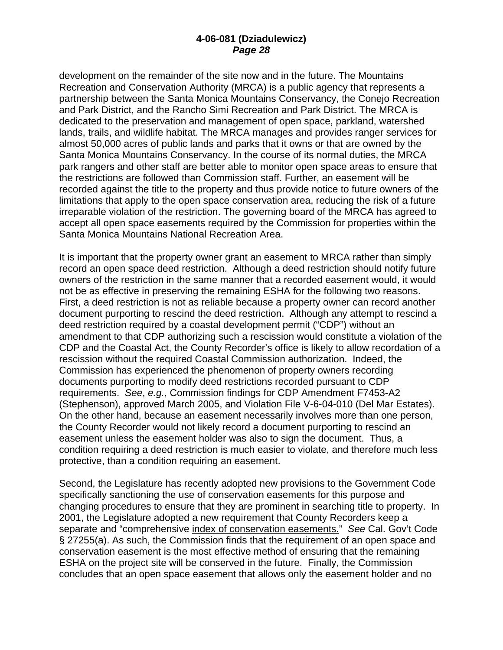development on the remainder of the site now and in the future. The Mountains Recreation and Conservation Authority (MRCA) is a public agency that represents a partnership between the Santa Monica Mountains Conservancy, the Conejo Recreation and Park District, and the Rancho Simi Recreation and Park District. The MRCA is dedicated to the preservation and management of open space, parkland, watershed lands, trails, and wildlife habitat. The MRCA manages and provides ranger services for almost 50,000 acres of public lands and parks that it owns or that are owned by the Santa Monica Mountains Conservancy. In the course of its normal duties, the MRCA park rangers and other staff are better able to monitor open space areas to ensure that the restrictions are followed than Commission staff. Further, an easement will be recorded against the title to the property and thus provide notice to future owners of the limitations that apply to the open space conservation area, reducing the risk of a future irreparable violation of the restriction. The governing board of the MRCA has agreed to accept all open space easements required by the Commission for properties within the Santa Monica Mountains National Recreation Area.

It is important that the property owner grant an easement to MRCA rather than simply record an open space deed restriction. Although a deed restriction should notify future owners of the restriction in the same manner that a recorded easement would, it would not be as effective in preserving the remaining ESHA for the following two reasons. First, a deed restriction is not as reliable because a property owner can record another document purporting to rescind the deed restriction. Although any attempt to rescind a deed restriction required by a coastal development permit ("CDP") without an amendment to that CDP authorizing such a rescission would constitute a violation of the CDP and the Coastal Act, the County Recorder's office is likely to allow recordation of a rescission without the required Coastal Commission authorization. Indeed, the Commission has experienced the phenomenon of property owners recording documents purporting to modify deed restrictions recorded pursuant to CDP requirements. *See*, *e.g.*, Commission findings for CDP Amendment F7453-A2 (Stephenson), approved March 2005, and Violation File V-6-04-010 (Del Mar Estates). On the other hand, because an easement necessarily involves more than one person, the County Recorder would not likely record a document purporting to rescind an easement unless the easement holder was also to sign the document. Thus, a condition requiring a deed restriction is much easier to violate, and therefore much less protective, than a condition requiring an easement.

Second, the Legislature has recently adopted new provisions to the Government Code specifically sanctioning the use of conservation easements for this purpose and changing procedures to ensure that they are prominent in searching title to property. In 2001, the Legislature adopted a new requirement that County Recorders keep a separate and "comprehensive index of conservation easements." *See* Cal. Gov't Code § 27255(a). As such, the Commission finds that the requirement of an open space and conservation easement is the most effective method of ensuring that the remaining ESHA on the project site will be conserved in the future. Finally, the Commission concludes that an open space easement that allows only the easement holder and no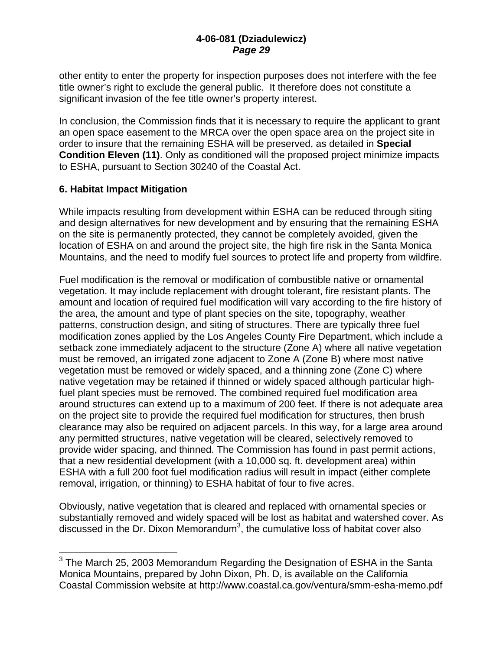other entity to enter the property for inspection purposes does not interfere with the fee title owner's right to exclude the general public. It therefore does not constitute a significant invasion of the fee title owner's property interest.

In conclusion, the Commission finds that it is necessary to require the applicant to grant an open space easement to the MRCA over the open space area on the project site in order to insure that the remaining ESHA will be preserved, as detailed in **Special Condition Eleven (11)**. Only as conditioned will the proposed project minimize impacts to ESHA, pursuant to Section 30240 of the Coastal Act.

#### **6. Habitat Impact Mitigation**

1

While impacts resulting from development within ESHA can be reduced through siting and design alternatives for new development and by ensuring that the remaining ESHA on the site is permanently protected, they cannot be completely avoided, given the location of ESHA on and around the project site, the high fire risk in the Santa Monica Mountains, and the need to modify fuel sources to protect life and property from wildfire.

Fuel modification is the removal or modification of combustible native or ornamental vegetation. It may include replacement with drought tolerant, fire resistant plants. The amount and location of required fuel modification will vary according to the fire history of the area, the amount and type of plant species on the site, topography, weather patterns, construction design, and siting of structures. There are typically three fuel modification zones applied by the Los Angeles County Fire Department, which include a setback zone immediately adjacent to the structure (Zone A) where all native vegetation must be removed, an irrigated zone adjacent to Zone A (Zone B) where most native vegetation must be removed or widely spaced, and a thinning zone (Zone C) where native vegetation may be retained if thinned or widely spaced although particular highfuel plant species must be removed. The combined required fuel modification area around structures can extend up to a maximum of 200 feet. If there is not adequate area on the project site to provide the required fuel modification for structures, then brush clearance may also be required on adjacent parcels. In this way, for a large area around any permitted structures, native vegetation will be cleared, selectively removed to provide wider spacing, and thinned. The Commission has found in past permit actions, that a new residential development (with a 10,000 sq. ft. development area) within ESHA with a full 200 foot fuel modification radius will result in impact (either complete removal, irrigation, or thinning) to ESHA habitat of four to five acres.

Obviously, native vegetation that is cleared and replaced with ornamental species or substantially removed and widely spaced will be lost as habitat and watershed cover. As discussed in the Dr. Dixon Memorandum<sup>3</sup>, the cumulative loss of habitat cover also

 $3$  The March 25, 2003 Memorandum Regarding the Designation of ESHA in the Santa Monica Mountains, prepared by John Dixon, Ph. D, is available on the California Coastal Commission website at http://www.coastal.ca.gov/ventura/smm-esha-memo.pdf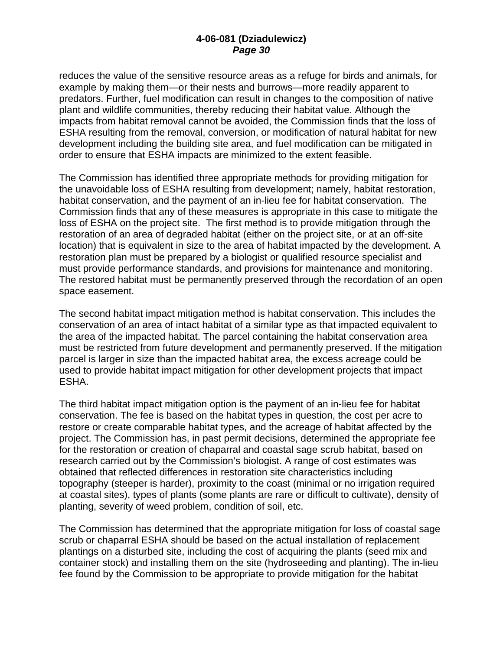reduces the value of the sensitive resource areas as a refuge for birds and animals, for example by making them—or their nests and burrows—more readily apparent to predators. Further, fuel modification can result in changes to the composition of native plant and wildlife communities, thereby reducing their habitat value. Although the impacts from habitat removal cannot be avoided, the Commission finds that the loss of ESHA resulting from the removal, conversion, or modification of natural habitat for new development including the building site area, and fuel modification can be mitigated in order to ensure that ESHA impacts are minimized to the extent feasible.

The Commission has identified three appropriate methods for providing mitigation for the unavoidable loss of ESHA resulting from development; namely, habitat restoration, habitat conservation, and the payment of an in-lieu fee for habitat conservation. The Commission finds that any of these measures is appropriate in this case to mitigate the loss of ESHA on the project site. The first method is to provide mitigation through the restoration of an area of degraded habitat (either on the project site, or at an off-site location) that is equivalent in size to the area of habitat impacted by the development. A restoration plan must be prepared by a biologist or qualified resource specialist and must provide performance standards, and provisions for maintenance and monitoring. The restored habitat must be permanently preserved through the recordation of an open space easement.

The second habitat impact mitigation method is habitat conservation. This includes the conservation of an area of intact habitat of a similar type as that impacted equivalent to the area of the impacted habitat. The parcel containing the habitat conservation area must be restricted from future development and permanently preserved. If the mitigation parcel is larger in size than the impacted habitat area, the excess acreage could be used to provide habitat impact mitigation for other development projects that impact ESHA.

The third habitat impact mitigation option is the payment of an in-lieu fee for habitat conservation. The fee is based on the habitat types in question, the cost per acre to restore or create comparable habitat types, and the acreage of habitat affected by the project. The Commission has, in past permit decisions, determined the appropriate fee for the restoration or creation of chaparral and coastal sage scrub habitat, based on research carried out by the Commission's biologist. A range of cost estimates was obtained that reflected differences in restoration site characteristics including topography (steeper is harder), proximity to the coast (minimal or no irrigation required at coastal sites), types of plants (some plants are rare or difficult to cultivate), density of planting, severity of weed problem, condition of soil, etc.

The Commission has determined that the appropriate mitigation for loss of coastal sage scrub or chaparral ESHA should be based on the actual installation of replacement plantings on a disturbed site, including the cost of acquiring the plants (seed mix and container stock) and installing them on the site (hydroseeding and planting). The in-lieu fee found by the Commission to be appropriate to provide mitigation for the habitat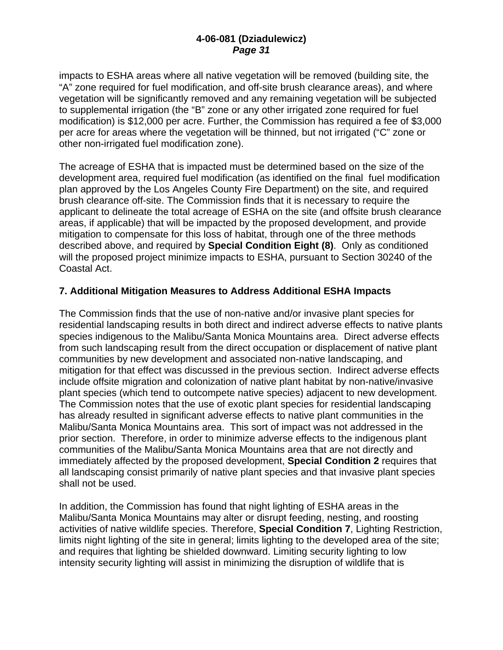impacts to ESHA areas where all native vegetation will be removed (building site, the "A" zone required for fuel modification, and off-site brush clearance areas), and where vegetation will be significantly removed and any remaining vegetation will be subjected to supplemental irrigation (the "B" zone or any other irrigated zone required for fuel modification) is \$12,000 per acre. Further, the Commission has required a fee of \$3,000 per acre for areas where the vegetation will be thinned, but not irrigated ("C" zone or other non-irrigated fuel modification zone).

The acreage of ESHA that is impacted must be determined based on the size of the development area, required fuel modification (as identified on the final fuel modification plan approved by the Los Angeles County Fire Department) on the site, and required brush clearance off-site. The Commission finds that it is necessary to require the applicant to delineate the total acreage of ESHA on the site (and offsite brush clearance areas, if applicable) that will be impacted by the proposed development, and provide mitigation to compensate for this loss of habitat, through one of the three methods described above, and required by **Special Condition Eight (8)**. Only as conditioned will the proposed project minimize impacts to ESHA, pursuant to Section 30240 of the Coastal Act.

#### **7. Additional Mitigation Measures to Address Additional ESHA Impacts**

The Commission finds that the use of non-native and/or invasive plant species for residential landscaping results in both direct and indirect adverse effects to native plants species indigenous to the Malibu/Santa Monica Mountains area. Direct adverse effects from such landscaping result from the direct occupation or displacement of native plant communities by new development and associated non-native landscaping, and mitigation for that effect was discussed in the previous section. Indirect adverse effects include offsite migration and colonization of native plant habitat by non-native/invasive plant species (which tend to outcompete native species) adjacent to new development. The Commission notes that the use of exotic plant species for residential landscaping has already resulted in significant adverse effects to native plant communities in the Malibu/Santa Monica Mountains area. This sort of impact was not addressed in the prior section. Therefore, in order to minimize adverse effects to the indigenous plant communities of the Malibu/Santa Monica Mountains area that are not directly and immediately affected by the proposed development, **Special Condition 2** requires that all landscaping consist primarily of native plant species and that invasive plant species shall not be used.

In addition, the Commission has found that night lighting of ESHA areas in the Malibu/Santa Monica Mountains may alter or disrupt feeding, nesting, and roosting activities of native wildlife species. Therefore, **Special Condition 7**, Lighting Restriction, limits night lighting of the site in general; limits lighting to the developed area of the site; and requires that lighting be shielded downward. Limiting security lighting to low intensity security lighting will assist in minimizing the disruption of wildlife that is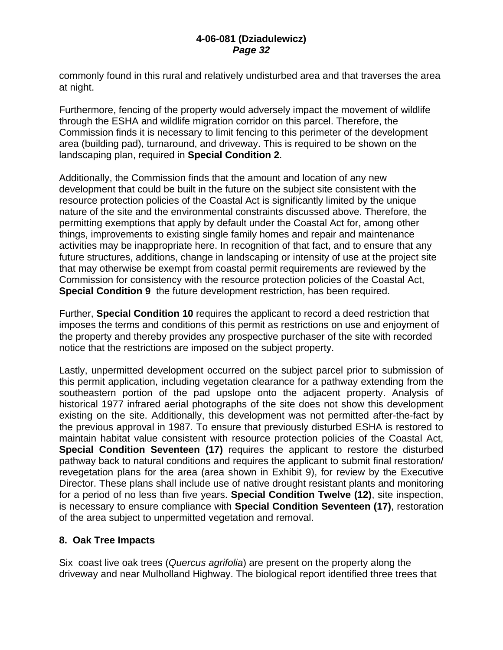commonly found in this rural and relatively undisturbed area and that traverses the area at night.

Furthermore, fencing of the property would adversely impact the movement of wildlife through the ESHA and wildlife migration corridor on this parcel. Therefore, the Commission finds it is necessary to limit fencing to this perimeter of the development area (building pad), turnaround, and driveway. This is required to be shown on the landscaping plan, required in **Special Condition 2**.

Additionally, the Commission finds that the amount and location of any new development that could be built in the future on the subject site consistent with the resource protection policies of the Coastal Act is significantly limited by the unique nature of the site and the environmental constraints discussed above. Therefore, the permitting exemptions that apply by default under the Coastal Act for, among other things, improvements to existing single family homes and repair and maintenance activities may be inappropriate here. In recognition of that fact, and to ensure that any future structures, additions, change in landscaping or intensity of use at the project site that may otherwise be exempt from coastal permit requirements are reviewed by the Commission for consistency with the resource protection policies of the Coastal Act, **Special Condition 9** the future development restriction, has been required.

Further, **Special Condition 10** requires the applicant to record a deed restriction that imposes the terms and conditions of this permit as restrictions on use and enjoyment of the property and thereby provides any prospective purchaser of the site with recorded notice that the restrictions are imposed on the subject property.

Lastly, unpermitted development occurred on the subject parcel prior to submission of this permit application, including vegetation clearance for a pathway extending from the southeastern portion of the pad upslope onto the adjacent property. Analysis of historical 1977 infrared aerial photographs of the site does not show this development existing on the site. Additionally, this development was not permitted after-the-fact by the previous approval in 1987. To ensure that previously disturbed ESHA is restored to maintain habitat value consistent with resource protection policies of the Coastal Act, **Special Condition Seventeen (17)** requires the applicant to restore the disturbed pathway back to natural conditions and requires the applicant to submit final restoration/ revegetation plans for the area (area shown in Exhibit 9), for review by the Executive Director. These plans shall include use of native drought resistant plants and monitoring for a period of no less than five years. **Special Condition Twelve (12)**, site inspection, is necessary to ensure compliance with **Special Condition Seventeen (17)**, restoration of the area subject to unpermitted vegetation and removal.

### **8. Oak Tree Impacts**

Six coast live oak trees (*Quercus agrifolia*) are present on the property along the driveway and near Mulholland Highway. The biological report identified three trees that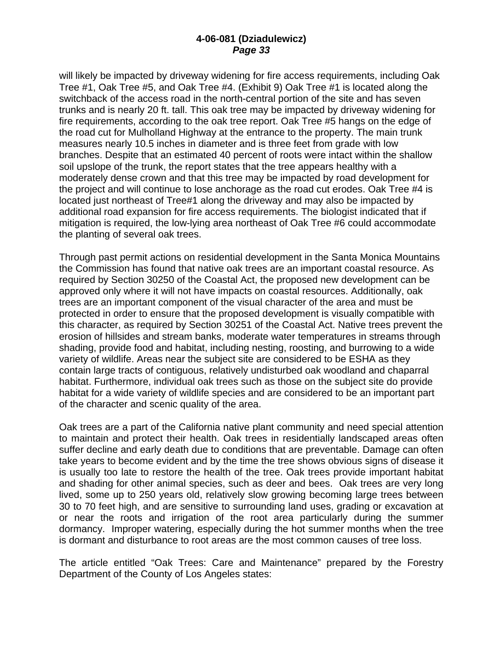will likely be impacted by driveway widening for fire access requirements, including Oak Tree #1, Oak Tree #5, and Oak Tree #4. (Exhibit 9) Oak Tree #1 is located along the switchback of the access road in the north-central portion of the site and has seven trunks and is nearly 20 ft. tall. This oak tree may be impacted by driveway widening for fire requirements, according to the oak tree report. Oak Tree #5 hangs on the edge of the road cut for Mulholland Highway at the entrance to the property. The main trunk measures nearly 10.5 inches in diameter and is three feet from grade with low branches. Despite that an estimated 40 percent of roots were intact within the shallow soil upslope of the trunk, the report states that the tree appears healthy with a moderately dense crown and that this tree may be impacted by road development for the project and will continue to lose anchorage as the road cut erodes. Oak Tree #4 is located just northeast of Tree#1 along the driveway and may also be impacted by additional road expansion for fire access requirements. The biologist indicated that if mitigation is required, the low-lying area northeast of Oak Tree #6 could accommodate the planting of several oak trees.

Through past permit actions on residential development in the Santa Monica Mountains the Commission has found that native oak trees are an important coastal resource. As required by Section 30250 of the Coastal Act, the proposed new development can be approved only where it will not have impacts on coastal resources. Additionally, oak trees are an important component of the visual character of the area and must be protected in order to ensure that the proposed development is visually compatible with this character, as required by Section 30251 of the Coastal Act. Native trees prevent the erosion of hillsides and stream banks, moderate water temperatures in streams through shading, provide food and habitat, including nesting, roosting, and burrowing to a wide variety of wildlife. Areas near the subject site are considered to be ESHA as they contain large tracts of contiguous, relatively undisturbed oak woodland and chaparral habitat. Furthermore, individual oak trees such as those on the subject site do provide habitat for a wide variety of wildlife species and are considered to be an important part of the character and scenic quality of the area.

Oak trees are a part of the California native plant community and need special attention to maintain and protect their health. Oak trees in residentially landscaped areas often suffer decline and early death due to conditions that are preventable. Damage can often take years to become evident and by the time the tree shows obvious signs of disease it is usually too late to restore the health of the tree. Oak trees provide important habitat and shading for other animal species, such as deer and bees. Oak trees are very long lived, some up to 250 years old, relatively slow growing becoming large trees between 30 to 70 feet high, and are sensitive to surrounding land uses, grading or excavation at or near the roots and irrigation of the root area particularly during the summer dormancy. Improper watering, especially during the hot summer months when the tree is dormant and disturbance to root areas are the most common causes of tree loss.

The article entitled "Oak Trees: Care and Maintenance" prepared by the Forestry Department of the County of Los Angeles states: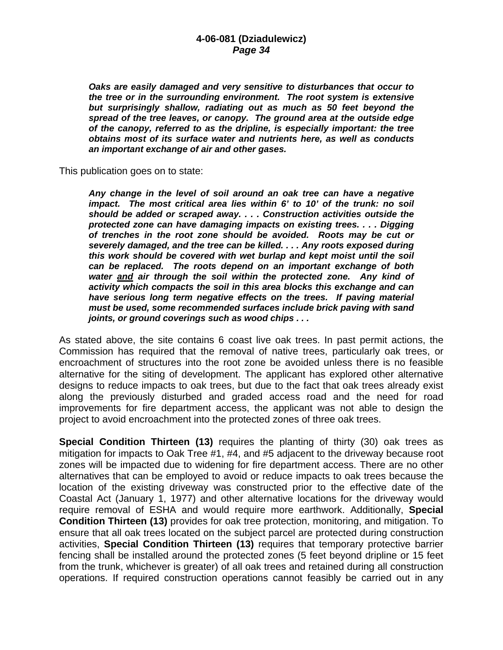*Oaks are easily damaged and very sensitive to disturbances that occur to the tree or in the surrounding environment. The root system is extensive but surprisingly shallow, radiating out as much as 50 feet beyond the spread of the tree leaves, or canopy. The ground area at the outside edge of the canopy, referred to as the dripline, is especially important: the tree obtains most of its surface water and nutrients here, as well as conducts an important exchange of air and other gases.* 

This publication goes on to state:

*Any change in the level of soil around an oak tree can have a negative impact. The most critical area lies within 6' to 10' of the trunk: no soil should be added or scraped away. . . . Construction activities outside the protected zone can have damaging impacts on existing trees. . . . Digging of trenches in the root zone should be avoided. Roots may be cut or severely damaged, and the tree can be killed. . . . Any roots exposed during this work should be covered with wet burlap and kept moist until the soil can be replaced. The roots depend on an important exchange of both water and air through the soil within the protected zone. Any kind of activity which compacts the soil in this area blocks this exchange and can*  have serious long term negative effects on the trees. If paving material *must be used, some recommended surfaces include brick paving with sand joints, or ground coverings such as wood chips . . .* 

As stated above, the site contains 6 coast live oak trees. In past permit actions, the Commission has required that the removal of native trees, particularly oak trees, or encroachment of structures into the root zone be avoided unless there is no feasible alternative for the siting of development. The applicant has explored other alternative designs to reduce impacts to oak trees, but due to the fact that oak trees already exist along the previously disturbed and graded access road and the need for road improvements for fire department access, the applicant was not able to design the project to avoid encroachment into the protected zones of three oak trees.

**Special Condition Thirteen (13)** requires the planting of thirty (30) oak trees as mitigation for impacts to Oak Tree #1, #4, and #5 adjacent to the driveway because root zones will be impacted due to widening for fire department access. There are no other alternatives that can be employed to avoid or reduce impacts to oak trees because the location of the existing driveway was constructed prior to the effective date of the Coastal Act (January 1, 1977) and other alternative locations for the driveway would require removal of ESHA and would require more earthwork. Additionally, **Special Condition Thirteen (13)** provides for oak tree protection, monitoring, and mitigation. To ensure that all oak trees located on the subject parcel are protected during construction activities, **Special Condition Thirteen (13)** requires that temporary protective barrier fencing shall be installed around the protected zones (5 feet beyond dripline or 15 feet from the trunk, whichever is greater) of all oak trees and retained during all construction operations. If required construction operations cannot feasibly be carried out in any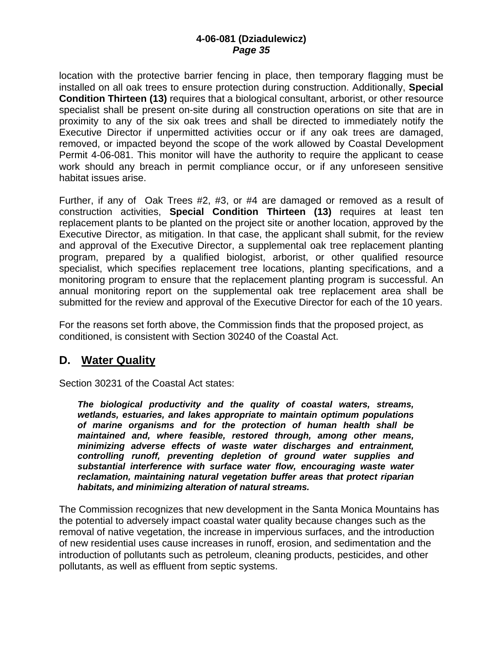location with the protective barrier fencing in place, then temporary flagging must be installed on all oak trees to ensure protection during construction. Additionally, **Special Condition Thirteen (13)** requires that a biological consultant, arborist, or other resource specialist shall be present on-site during all construction operations on site that are in proximity to any of the six oak trees and shall be directed to immediately notify the Executive Director if unpermitted activities occur or if any oak trees are damaged, removed, or impacted beyond the scope of the work allowed by Coastal Development Permit 4-06-081. This monitor will have the authority to require the applicant to cease work should any breach in permit compliance occur, or if any unforeseen sensitive habitat issues arise.

Further, if any of Oak Trees #2, #3, or #4 are damaged or removed as a result of construction activities, **Special Condition Thirteen (13)** requires at least ten replacement plants to be planted on the project site or another location, approved by the Executive Director, as mitigation. In that case, the applicant shall submit, for the review and approval of the Executive Director, a supplemental oak tree replacement planting program, prepared by a qualified biologist, arborist, or other qualified resource specialist, which specifies replacement tree locations, planting specifications, and a monitoring program to ensure that the replacement planting program is successful. An annual monitoring report on the supplemental oak tree replacement area shall be submitted for the review and approval of the Executive Director for each of the 10 years.

For the reasons set forth above, the Commission finds that the proposed project, as conditioned, is consistent with Section 30240 of the Coastal Act.

## **D. Water Quality**

Section 30231 of the Coastal Act states:

*The biological productivity and the quality of coastal waters, streams, wetlands, estuaries, and lakes appropriate to maintain optimum populations of marine organisms and for the protection of human health shall be maintained and, where feasible, restored through, among other means, minimizing adverse effects of waste water discharges and entrainment, controlling runoff, preventing depletion of ground water supplies and substantial interference with surface water flow, encouraging waste water reclamation, maintaining natural vegetation buffer areas that protect riparian habitats, and minimizing alteration of natural streams.* 

The Commission recognizes that new development in the Santa Monica Mountains has the potential to adversely impact coastal water quality because changes such as the removal of native vegetation, the increase in impervious surfaces, and the introduction of new residential uses cause increases in runoff, erosion, and sedimentation and the introduction of pollutants such as petroleum, cleaning products, pesticides, and other pollutants, as well as effluent from septic systems.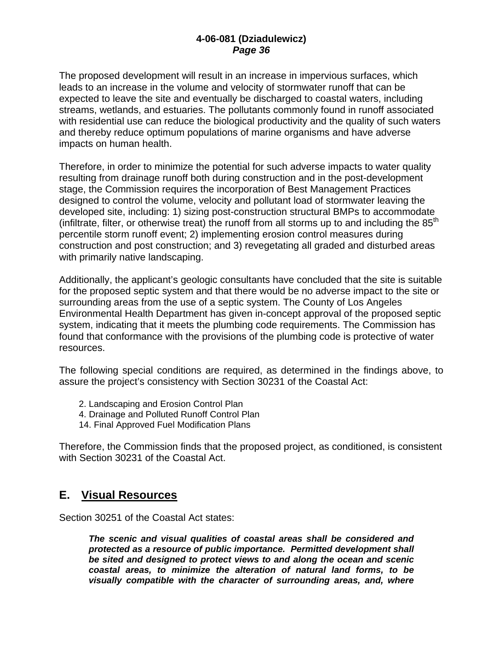The proposed development will result in an increase in impervious surfaces, which leads to an increase in the volume and velocity of stormwater runoff that can be expected to leave the site and eventually be discharged to coastal waters, including streams, wetlands, and estuaries. The pollutants commonly found in runoff associated with residential use can reduce the biological productivity and the quality of such waters and thereby reduce optimum populations of marine organisms and have adverse impacts on human health.

Therefore, in order to minimize the potential for such adverse impacts to water quality resulting from drainage runoff both during construction and in the post-development stage, the Commission requires the incorporation of Best Management Practices designed to control the volume, velocity and pollutant load of stormwater leaving the developed site, including: 1) sizing post-construction structural BMPs to accommodate (infiltrate, filter, or otherwise treat) the runoff from all storms up to and including the  $85<sup>th</sup>$ percentile storm runoff event; 2) implementing erosion control measures during construction and post construction; and 3) revegetating all graded and disturbed areas with primarily native landscaping.

Additionally, the applicant's geologic consultants have concluded that the site is suitable for the proposed septic system and that there would be no adverse impact to the site or surrounding areas from the use of a septic system. The County of Los Angeles Environmental Health Department has given in-concept approval of the proposed septic system, indicating that it meets the plumbing code requirements. The Commission has found that conformance with the provisions of the plumbing code is protective of water resources.

The following special conditions are required, as determined in the findings above, to assure the project's consistency with Section 30231 of the Coastal Act:

- 2. Landscaping and Erosion Control Plan
- 4. Drainage and Polluted Runoff Control Plan
- 14. Final Approved Fuel Modification Plans

Therefore, the Commission finds that the proposed project, as conditioned, is consistent with Section 30231 of the Coastal Act.

### **E. Visual Resources**

Section 30251 of the Coastal Act states:

*The scenic and visual qualities of coastal areas shall be considered and protected as a resource of public importance. Permitted development shall be sited and designed to protect views to and along the ocean and scenic coastal areas, to minimize the alteration of natural land forms, to be visually compatible with the character of surrounding areas, and, where*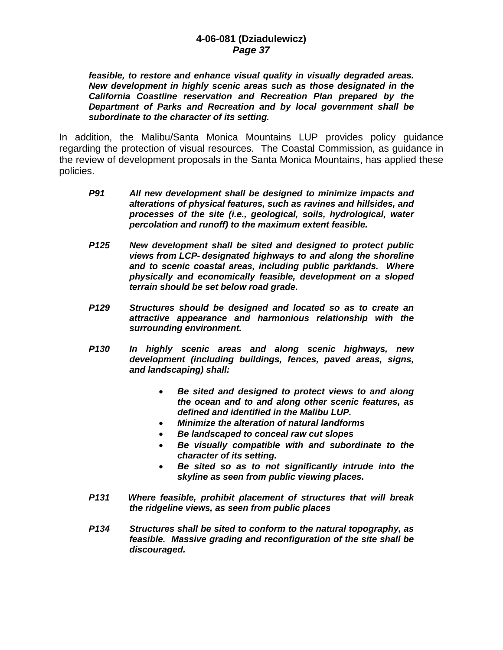*feasible, to restore and enhance visual quality in visually degraded areas. New development in highly scenic areas such as those designated in the California Coastline reservation and Recreation Plan prepared by the Department of Parks and Recreation and by local government shall be subordinate to the character of its setting.* 

In addition, the Malibu/Santa Monica Mountains LUP provides policy guidance regarding the protection of visual resources. The Coastal Commission, as guidance in the review of development proposals in the Santa Monica Mountains, has applied these policies.

- *P91 All new development shall be designed to minimize impacts and alterations of physical features, such as ravines and hillsides, and processes of the site (i.e., geological, soils, hydrological, water percolation and runoff) to the maximum extent feasible.*
- *P125 New development shall be sited and designed to protect public views from LCP- designated highways to and along the shoreline and to scenic coastal areas, including public parklands. Where physically and economically feasible, development on a sloped terrain should be set below road grade.*
- *P129 Structures should be designed and located so as to create an attractive appearance and harmonious relationship with the surrounding environment.*
- *P130 In highly scenic areas and along scenic highways, new development (including buildings, fences, paved areas, signs, and landscaping) shall:* 
	- *Be sited and designed to protect views to and along the ocean and to and along other scenic features, as defined and identified in the Malibu LUP.*
	- *Minimize the alteration of natural landforms*
	- *Be landscaped to conceal raw cut slopes*
	- *Be visually compatible with and subordinate to the character of its setting.*
	- *Be sited so as to not significantly intrude into the skyline as seen from public viewing places.*
- *P131 Where feasible, prohibit placement of structures that will break the ridgeline views, as seen from public places*
- *P134 Structures shall be sited to conform to the natural topography, as feasible. Massive grading and reconfiguration of the site shall be discouraged.*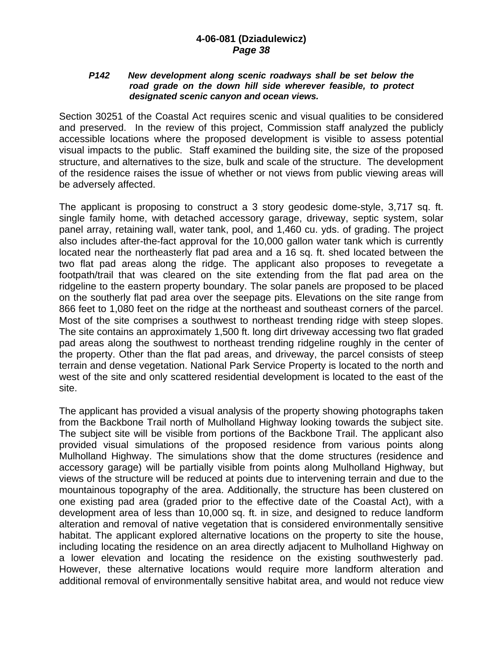#### *P142 New development along scenic roadways shall be set below the road grade on the down hill side wherever feasible, to protect designated scenic canyon and ocean views.*

Section 30251 of the Coastal Act requires scenic and visual qualities to be considered and preserved. In the review of this project, Commission staff analyzed the publicly accessible locations where the proposed development is visible to assess potential visual impacts to the public. Staff examined the building site, the size of the proposed structure, and alternatives to the size, bulk and scale of the structure. The development of the residence raises the issue of whether or not views from public viewing areas will be adversely affected.

The applicant is proposing to construct a 3 story geodesic dome-style, 3,717 sq. ft. single family home, with detached accessory garage, driveway, septic system, solar panel array, retaining wall, water tank, pool, and 1,460 cu. yds. of grading. The project also includes after-the-fact approval for the 10,000 gallon water tank which is currently located near the northeasterly flat pad area and a 16 sq. ft. shed located between the two flat pad areas along the ridge. The applicant also proposes to revegetate a footpath/trail that was cleared on the site extending from the flat pad area on the ridgeline to the eastern property boundary. The solar panels are proposed to be placed on the southerly flat pad area over the seepage pits. Elevations on the site range from 866 feet to 1,080 feet on the ridge at the northeast and southeast corners of the parcel. Most of the site comprises a southwest to northeast trending ridge with steep slopes. The site contains an approximately 1,500 ft. long dirt driveway accessing two flat graded pad areas along the southwest to northeast trending ridgeline roughly in the center of the property. Other than the flat pad areas, and driveway, the parcel consists of steep terrain and dense vegetation. National Park Service Property is located to the north and west of the site and only scattered residential development is located to the east of the site.

The applicant has provided a visual analysis of the property showing photographs taken from the Backbone Trail north of Mulholland Highway looking towards the subject site. The subject site will be visible from portions of the Backbone Trail. The applicant also provided visual simulations of the proposed residence from various points along Mulholland Highway. The simulations show that the dome structures (residence and accessory garage) will be partially visible from points along Mulholland Highway, but views of the structure will be reduced at points due to intervening terrain and due to the mountainous topography of the area. Additionally, the structure has been clustered on one existing pad area (graded prior to the effective date of the Coastal Act), with a development area of less than 10,000 sq. ft. in size, and designed to reduce landform alteration and removal of native vegetation that is considered environmentally sensitive habitat. The applicant explored alternative locations on the property to site the house, including locating the residence on an area directly adjacent to Mulholland Highway on a lower elevation and locating the residence on the existing southwesterly pad. However, these alternative locations would require more landform alteration and additional removal of environmentally sensitive habitat area, and would not reduce view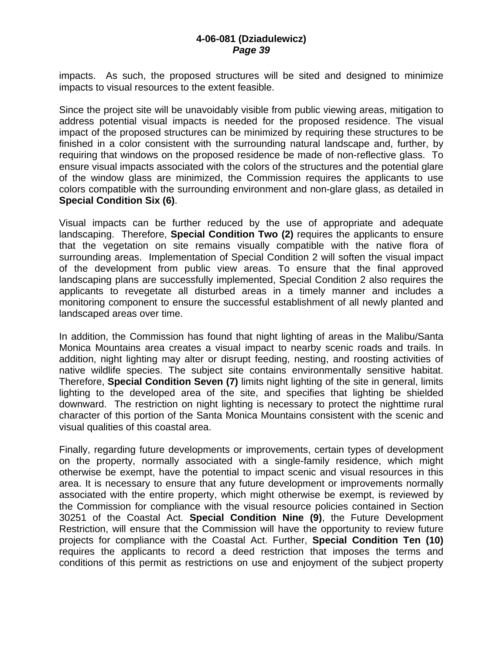impacts. As such, the proposed structures will be sited and designed to minimize impacts to visual resources to the extent feasible.

Since the project site will be unavoidably visible from public viewing areas, mitigation to address potential visual impacts is needed for the proposed residence. The visual impact of the proposed structures can be minimized by requiring these structures to be finished in a color consistent with the surrounding natural landscape and, further, by requiring that windows on the proposed residence be made of non-reflective glass. To ensure visual impacts associated with the colors of the structures and the potential glare of the window glass are minimized, the Commission requires the applicants to use colors compatible with the surrounding environment and non-glare glass, as detailed in **Special Condition Six (6)**.

Visual impacts can be further reduced by the use of appropriate and adequate landscaping. Therefore, **Special Condition Two (2)** requires the applicants to ensure that the vegetation on site remains visually compatible with the native flora of surrounding areas. Implementation of Special Condition 2 will soften the visual impact of the development from public view areas. To ensure that the final approved landscaping plans are successfully implemented, Special Condition 2 also requires the applicants to revegetate all disturbed areas in a timely manner and includes a monitoring component to ensure the successful establishment of all newly planted and landscaped areas over time.

In addition, the Commission has found that night lighting of areas in the Malibu/Santa Monica Mountains area creates a visual impact to nearby scenic roads and trails. In addition, night lighting may alter or disrupt feeding, nesting, and roosting activities of native wildlife species. The subject site contains environmentally sensitive habitat. Therefore, **Special Condition Seven (7)** limits night lighting of the site in general, limits lighting to the developed area of the site, and specifies that lighting be shielded downward. The restriction on night lighting is necessary to protect the nighttime rural character of this portion of the Santa Monica Mountains consistent with the scenic and visual qualities of this coastal area.

Finally, regarding future developments or improvements, certain types of development on the property, normally associated with a single-family residence, which might otherwise be exempt, have the potential to impact scenic and visual resources in this area. It is necessary to ensure that any future development or improvements normally associated with the entire property, which might otherwise be exempt, is reviewed by the Commission for compliance with the visual resource policies contained in Section 30251 of the Coastal Act. **Special Condition Nine (9)**, the Future Development Restriction, will ensure that the Commission will have the opportunity to review future projects for compliance with the Coastal Act. Further, **Special Condition Ten (10)** requires the applicants to record a deed restriction that imposes the terms and conditions of this permit as restrictions on use and enjoyment of the subject property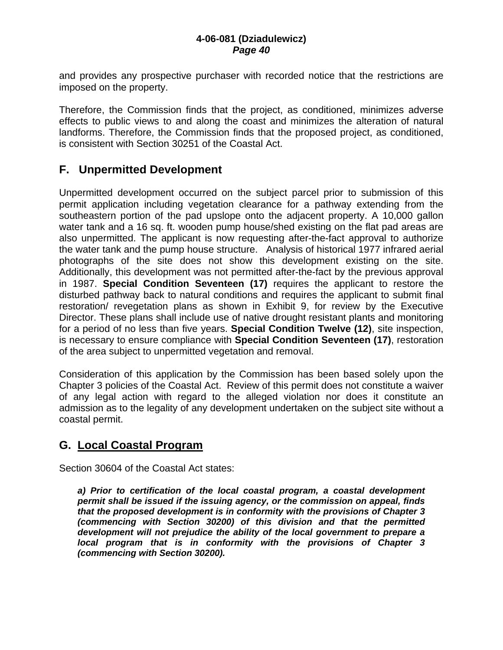and provides any prospective purchaser with recorded notice that the restrictions are imposed on the property.

Therefore, the Commission finds that the project, as conditioned, minimizes adverse effects to public views to and along the coast and minimizes the alteration of natural landforms. Therefore, the Commission finds that the proposed project, as conditioned, is consistent with Section 30251 of the Coastal Act.

## **F. Unpermitted Development**

Unpermitted development occurred on the subject parcel prior to submission of this permit application including vegetation clearance for a pathway extending from the southeastern portion of the pad upslope onto the adjacent property. A 10,000 gallon water tank and a 16 sq. ft. wooden pump house/shed existing on the flat pad areas are also unpermitted. The applicant is now requesting after-the-fact approval to authorize the water tank and the pump house structure. Analysis of historical 1977 infrared aerial photographs of the site does not show this development existing on the site. Additionally, this development was not permitted after-the-fact by the previous approval in 1987. **Special Condition Seventeen (17)** requires the applicant to restore the disturbed pathway back to natural conditions and requires the applicant to submit final restoration/ revegetation plans as shown in Exhibit 9, for review by the Executive Director. These plans shall include use of native drought resistant plants and monitoring for a period of no less than five years. **Special Condition Twelve (12)**, site inspection, is necessary to ensure compliance with **Special Condition Seventeen (17)**, restoration of the area subject to unpermitted vegetation and removal.

Consideration of this application by the Commission has been based solely upon the Chapter 3 policies of the Coastal Act. Review of this permit does not constitute a waiver of any legal action with regard to the alleged violation nor does it constitute an admission as to the legality of any development undertaken on the subject site without a coastal permit.

### **G. Local Coastal Program**

Section 30604 of the Coastal Act states:

*a) Prior to certification of the local coastal program, a coastal development permit shall be issued if the issuing agency, or the commission on appeal, finds that the proposed development is in conformity with the provisions of Chapter 3 (commencing with Section 30200) of this division and that the permitted development will not prejudice the ability of the local government to prepare a local program that is in conformity with the provisions of Chapter 3 (commencing with Section 30200).*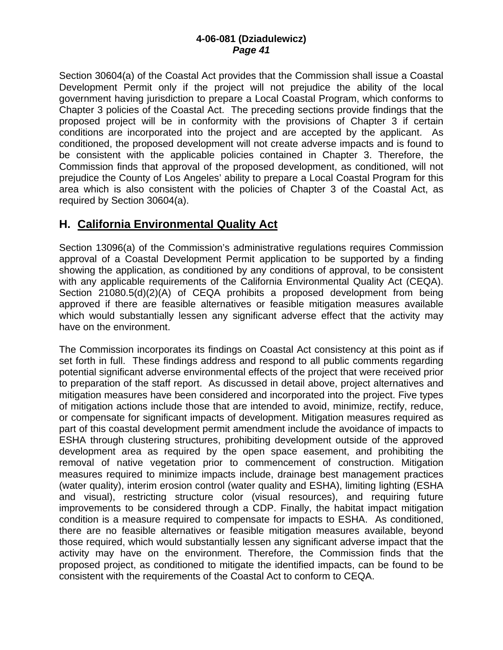Section 30604(a) of the Coastal Act provides that the Commission shall issue a Coastal Development Permit only if the project will not prejudice the ability of the local government having jurisdiction to prepare a Local Coastal Program, which conforms to Chapter 3 policies of the Coastal Act. The preceding sections provide findings that the proposed project will be in conformity with the provisions of Chapter 3 if certain conditions are incorporated into the project and are accepted by the applicant. As conditioned, the proposed development will not create adverse impacts and is found to be consistent with the applicable policies contained in Chapter 3. Therefore, the Commission finds that approval of the proposed development, as conditioned, will not prejudice the County of Los Angeles' ability to prepare a Local Coastal Program for this area which is also consistent with the policies of Chapter 3 of the Coastal Act, as required by Section 30604(a).

## **H. California Environmental Quality Act**

Section 13096(a) of the Commission's administrative regulations requires Commission approval of a Coastal Development Permit application to be supported by a finding showing the application, as conditioned by any conditions of approval, to be consistent with any applicable requirements of the California Environmental Quality Act (CEQA). Section 21080.5(d)(2)(A) of CEQA prohibits a proposed development from being approved if there are feasible alternatives or feasible mitigation measures available which would substantially lessen any significant adverse effect that the activity may have on the environment.

The Commission incorporates its findings on Coastal Act consistency at this point as if set forth in full. These findings address and respond to all public comments regarding potential significant adverse environmental effects of the project that were received prior to preparation of the staff report. As discussed in detail above, project alternatives and mitigation measures have been considered and incorporated into the project. Five types of mitigation actions include those that are intended to avoid, minimize, rectify, reduce, or compensate for significant impacts of development. Mitigation measures required as part of this coastal development permit amendment include the avoidance of impacts to ESHA through clustering structures, prohibiting development outside of the approved development area as required by the open space easement, and prohibiting the removal of native vegetation prior to commencement of construction. Mitigation measures required to minimize impacts include, drainage best management practices (water quality), interim erosion control (water quality and ESHA), limiting lighting (ESHA and visual), restricting structure color (visual resources), and requiring future improvements to be considered through a CDP. Finally, the habitat impact mitigation condition is a measure required to compensate for impacts to ESHA. As conditioned, there are no feasible alternatives or feasible mitigation measures available, beyond those required, which would substantially lessen any significant adverse impact that the activity may have on the environment. Therefore, the Commission finds that the proposed project, as conditioned to mitigate the identified impacts, can be found to be consistent with the requirements of the Coastal Act to conform to CEQA.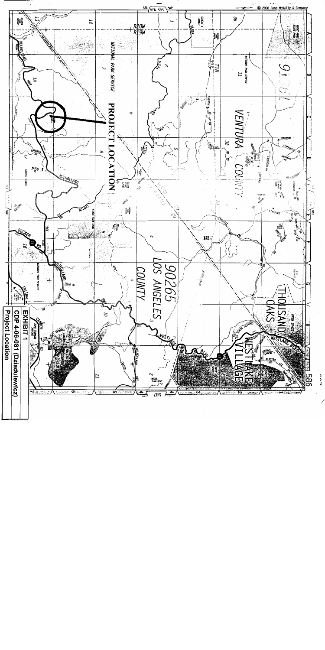

ر<br>د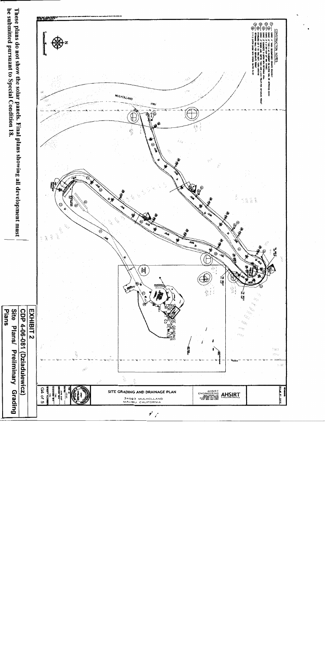

be submitted pursuant to Special Condition 18.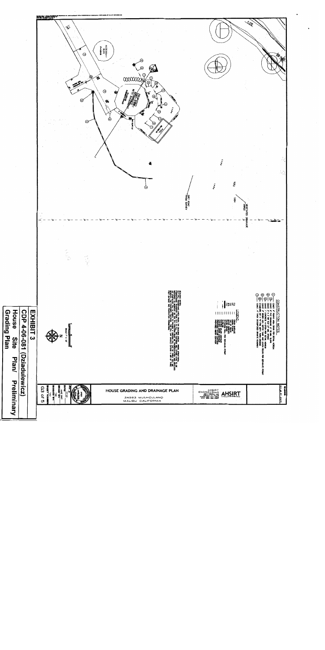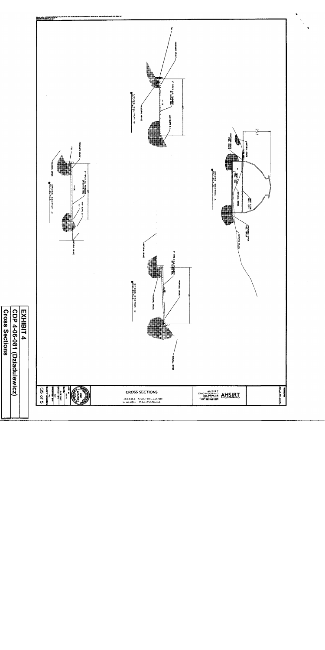



**Cross Sections** EXHIBIT 4 CDP 4-06-081 (Dziadulewicz)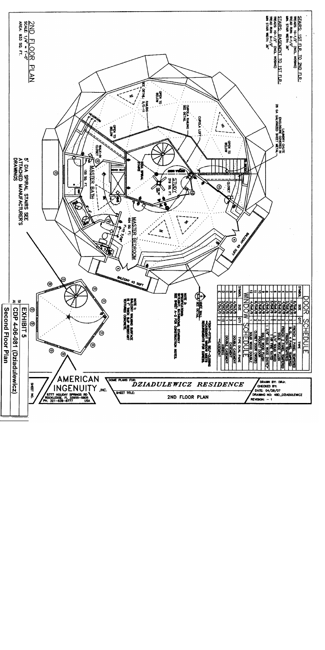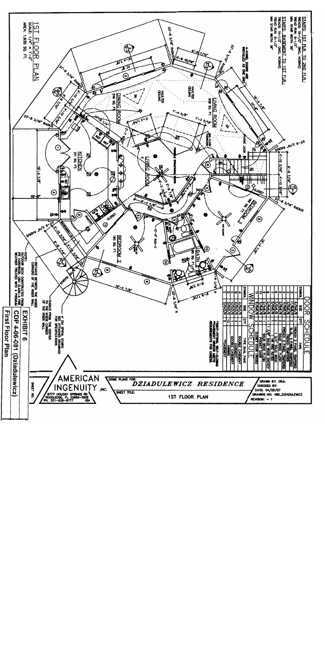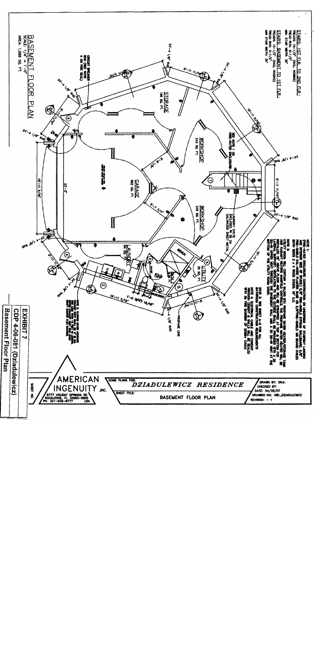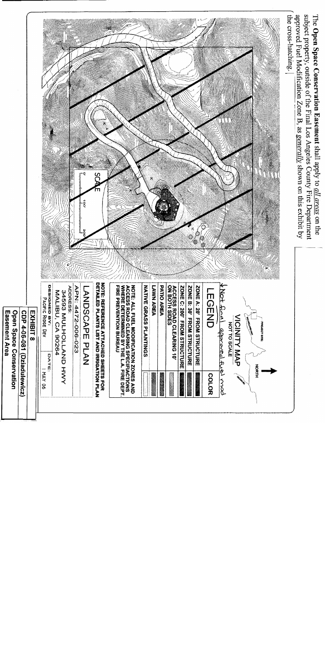subject property, outside of the Final Los Angeles County Fire Department approved Fuel Modification Zone B, as generally shown on this exhibit by The Open Space Conservation Easement shall apply to *all areas* on the



| asement Area:<br><b>Den Space Conservation</b> | <b>PD 4-06-081 (Dziadulexicz)</b> | <b>.<br/>ΣΗΣΙΣΙΣ</b> |
|------------------------------------------------|-----------------------------------|----------------------|
|------------------------------------------------|-----------------------------------|----------------------|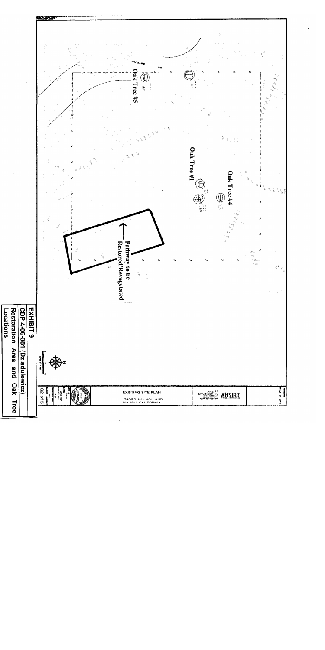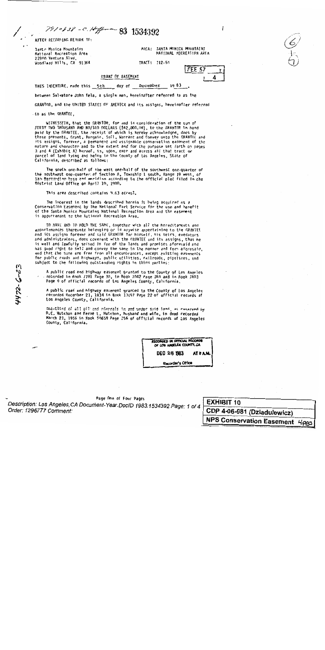AFTER RECORDING RETURN TO:

Sante Monica Mountains National Recreation Area 22900 Ventura Blvd. Woodland Hills, CA 91364 AREA: SANJA MONJCA MODINIAINS NATIONAL RECREATION AREA

TRACT: 112-55

| FEE S7 |  |
|--------|--|
|        |  |

day of December 1983 THIS INDENTURE, made this 5th

7910538 - C. Hiff - 83 1534392

between Salvatore John Tela, a single man, hereinafter referred to as the

GRANT OF EASEMENT

GRANTOR, and the UNITED STATES OF AMERICA and its assigns, hereinafter referred

to as the GRANTEE,

E2-7-5Lht

WITNESSETH, that the GRANTOR, for and in consideration of the sum of FORTY TWO THOUSAND AND NO/100 DOLLARS (\$42,000.00), to the GRANTOR in hand paid by the GRANTEE, the receipt of which is hereby acknowledged, does by these presents, Grant, Bargain, Sell, Warrant and Convey unto the GRANTEE and its assigns, forever, a permanent and assignable conservation easement of the nature and character and to the extent and for the purpose set forth on pages 3 and 4 (Exhibit A) hereof, in, upon, over and across all that tract or parcel of land lying and being in the County of Los Angeles, State of California, described as follows:

The south one-half of the west one-half of the southwest one-quarter of the southwest one-quarter of Section 8, Township 1 south, Range 19 west, of San Bernardino base and meridian according to the official plat filed in the District Land Office on April 10, 1980.

This area described contains 9.63 acres<sup>±</sup>.

The interest in the lands described herein is being acquired as a Conservation Easement by the National Park Service for the use and benefit of the Santa Honica Mountains National Recreation Area and the easement is appurtenant to the National Recreation Area.

TO HAVE AND TO HOLD THE SAME, together with all the hereditaments and appurtemences thereunto belonging or in anywise appertaining to the GRANTEE and its assigns forever and said GRANTOR for himself, his heirs, executors and administrators, does covenant with the GRANTEE and its assigns, that he is well and lawfully seised in fee of the lands and premises aforesaid and has good right to sell and convey the same in the manner and form aforesaid, and that the same are free from all encumbrances, except existing easements for public roads and highways, public utilities, railroads, pipelines, and subject to the following outstanding rights in third parties:

A public road and highway easement granted to the County of Los Angeles recorded in Book 7781 Page 10, in Book 7042 Page 168 and in Book 7803<br>Page 9 of official records of Los Angeles County, California.

A public road and highway easement granted to the County of Los Angeles<br>recorded December 21, 1934 in Book 13197 Page 22 of official records of<br>los Angeles County, California.

Gna-third of all ofliand minorals in and under said land, as reserved by D.C. Hutchon and Ferne L. Hutchon, husband and wife, in deed recorded March 21, 1956 in Rook 50659 Page 156 of official records of Los Angeles County, California.

> RECORDED IN OFFICIAL RECORDS OF LOS ANGELES COUNTY, CA DEC 28 1983 AT 8 A.M.

Recorder's Office

Page One of Four Pages Description: Los Angeles, CA Document-Year. DocID 1983.1534392 Page: 1 of 4 Order: 1296777 Comment:

**EXHIBIT 10** CDP 4-06-081 (Dziadulewicz)  $NPS$  Conservation  $R$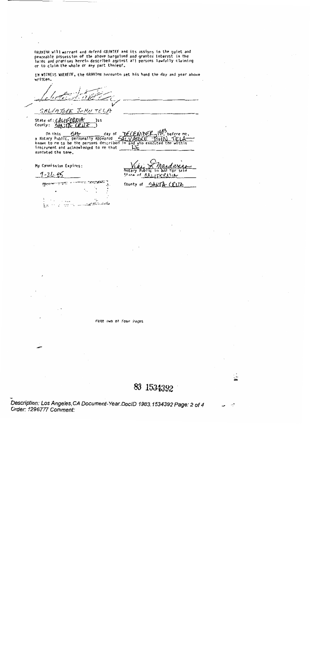GRANTOR will warrant and defend GRANTEE and its assigns in the quiet and peaceable possession of the above bargained and granted interest in the<br>lards and premises herein described against all persons lawfully claiming<br>or to claim the whole or any part thereof.

IN WITNESS WHEREOF, the GRANTOR hereunto set his hand the day and year above written.

SALVATORE JOHN TELA

State of: CALIFORNIA )ss

In this  $\frac{6H}{2}$  day of  $\frac{V}{V}$  (h)  $\frac{V}{V}$ <br>a Notary Public, personally appeared  $\frac{V}{V}$  ( $\frac{V}{V}$  ATDKE  $\frac{V}{V}$ )<br>known to me to be the persons described in and yho execute 1982 before me,  $TQHM$ ંમેં instrument and acknowledged to me that executed the same.

My Commission Expires:

 $7 - 21 - 06$ 

a n Notary Public for State of  $\Lambda$   $\Lambda$ 

4.  $\sim$  100  $\mu$  m لصفائح صبابين الدويداني الدا  $\mathbf{z}$ 

County of SANTA CRUZ

Page two of Four Pages

83 1534392

Description: Los Angeles, CA Document-Year. DocID 1983.1534392 Page: 2 of 4 Order: 1296777 Comment: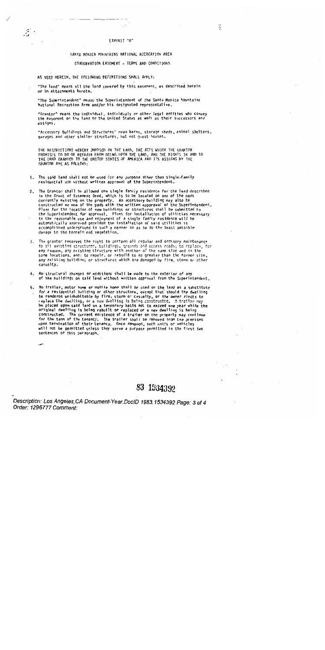#### SANTA MONICA MOUNTAINS NATIONAL RECREATION AREA

#### CONSERVATION EASEMENT - TERMS AND CONDITIONS

#### AS USED HEREIN, THE FOLLOWING DEFINITIONS SHALL APPLY:

 $\mathcal{F}^{\mathbb{C}}$ 

"The land" means all the land covered by this easement, as described herein or in attachments hereto.

"The Superintendent" means the Superintendent of the Santa Monica Mountains National Recreation Area and/or his designated representative.

"Grantor" means the individual, individuals or other legal entities who convey the easement on the land to the United States as well as their successors and assigns.

"Accessory Buildings and Structures" mean barns, storage sheds, animal shelters, garages and other similar structures, but not guest houses.

THE RESTRICTIONS HEREBY IMPOSED ON THE LAND, THE ACTS WHICH THE GRANTOR PROMISES TO DO OR REFRAIN FROM DOING UPON THE LAND, AND THE RIGHTS IN AND TO THE LAND GRANTED TO THE UNITED STATES OF AMERICA AND ITS ASSIGNS BY THE GRANTOR ARE AS FOLLOWS:

- 1. The said land shall not be used for any purpose other than single-family residential use without written approval of the Superintendent.
- 2. The Grantor shall he allowed one single family residence for the land described in the Grant of Easement Deed, which is to be located on one of the pads currently existing on the property. An accessory building may also be<br>constructed on one of the pads with the written appproval of the Superintendent. Plans for the location of new buildings or structures shall be submitted to the Superintendent for approval. Plans for installation of utilities necessary to the reasonable use and enjoyment of a single family residence will be automatically approved provided the installation of said utilities is accomplished underground in such a manner so as to do the least possible damage to the terrain and vegetation.
- 3. The grantor reserves the right to perform all regular and ordinary maintenance to all existing structures, buildings, grounds and access roads; to replace, for<br>any reason, any existing structure with anniher of the same size and in the same locations, and; to repair, or rebuild to no greater than the former size, any existing buildings or structures which are damaged by fire, storm or other casualty.
- 4. No/structural changes or additions shall be made to the exterior of any of the huildings on said land without written approval from the Superintendent.
- 5. No trailer, motor home or mobile home shall be used on the land as a substitute for a residential building or other structure, except that should the dwelling be rendered uninhabitable by fire, storm or casualty, or the owner elects to<br>replace the dwelling, or a new dwelling is being constructed. A trailer may be placed upon said land on a temporary basis not to exceed one year while the original dwelling is being rebuilt or replaced or a new dwelling is being constructed. The current existence of a trailer on the property may continue for the term of the tenancy. The trailer shall be removed from the premises upon termination of their tenancy. Once removed, such units or vehicles will not be permitted unless they serve a purpose permitted in the first two sentences of this paragraph.

83 1534392

Description: Los Angeles, CA Document-Year. DocID 1983.1534392 Page: 3 of 4 Order: 1296777 Comment:

2